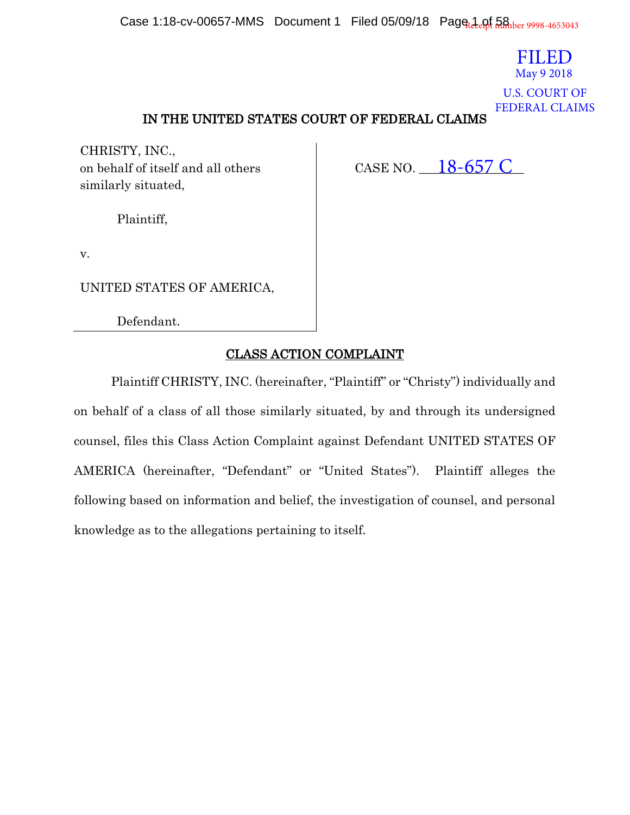Case 1:18-cv-00657-MMS Document 1 Filed 05/09/18 Page 1 appt 58 Puber 9998-4653043

May 9 2018 FILED U.S. COURT OF FEDERAL CLAIMS

## IN THE UNITED STATES COURT OF FEDERAL CLAIMS

CHRISTY, INC., on behalf of itself and all others similarly situated,

CASE NO.  $-18$ -657 C

Plaintiff,

v.

UNITED STATES OF AMERICA,

Defendant.

#### CLASS ACTION COMPLAINT

Plaintiff CHRISTY, INC. (hereinafter, "Plaintiff" or "Christy") individually and on behalf of a class of all those similarly situated, by and through its undersigned counsel, files this Class Action Complaint against Defendant UNITED STATES OF AMERICA (hereinafter, "Defendant" or "United States"). Plaintiff alleges the following based on information and belief, the investigation of counsel, and personal knowledge as to the allegations pertaining to itself.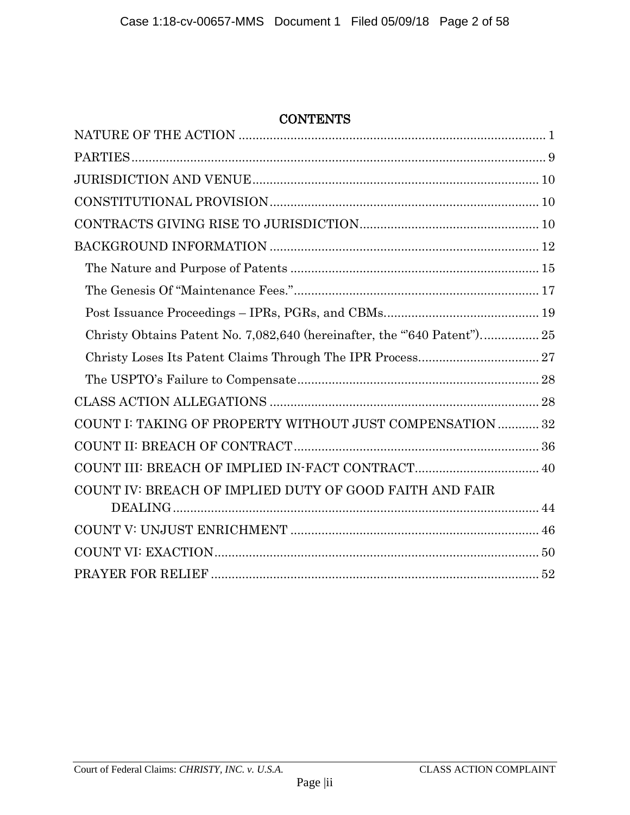## **CONTENTS**

| Christy Obtains Patent No. 7,082,640 (hereinafter, the "640 Patent") 25 |  |
|-------------------------------------------------------------------------|--|
|                                                                         |  |
|                                                                         |  |
|                                                                         |  |
| COUNT I: TAKING OF PROPERTY WITHOUT JUST COMPENSATION  32               |  |
|                                                                         |  |
|                                                                         |  |
| COUNT IV: BREACH OF IMPLIED DUTY OF GOOD FAITH AND FAIR                 |  |
|                                                                         |  |
|                                                                         |  |
|                                                                         |  |
|                                                                         |  |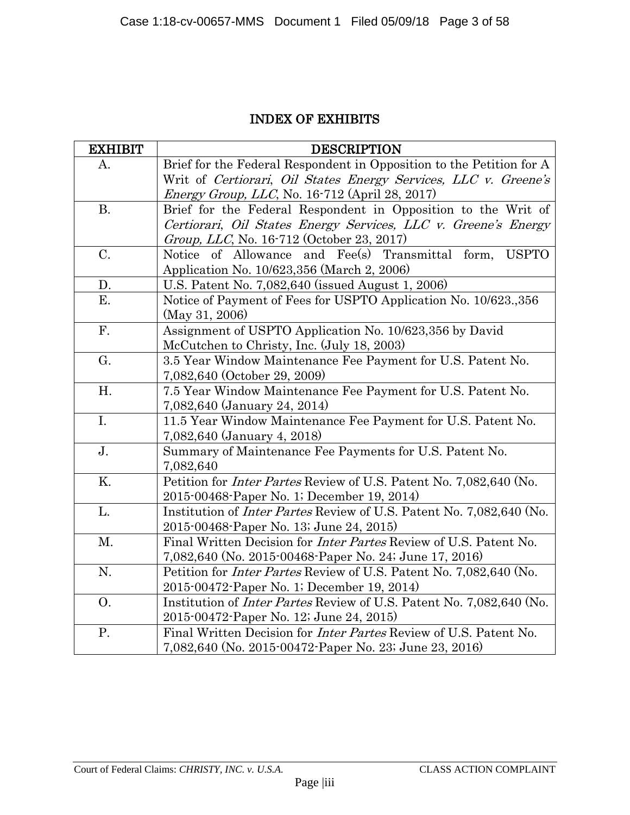## INDEX OF EXHIBITS

| <b>EXHIBIT</b> | <b>DESCRIPTION</b>                                                          |  |  |  |  |
|----------------|-----------------------------------------------------------------------------|--|--|--|--|
| A.             | Brief for the Federal Respondent in Opposition to the Petition for A        |  |  |  |  |
|                | Writ of Certiorari, Oil States Energy Services, LLC v. Greene's             |  |  |  |  |
|                | <i>Energy Group, LLC</i> , No. 16-712 (April 28, 2017)                      |  |  |  |  |
| <b>B.</b>      | Brief for the Federal Respondent in Opposition to the Writ of               |  |  |  |  |
|                | Certiorari, Oil States Energy Services, LLC v. Greene's Energy              |  |  |  |  |
|                | <i>Group, LLC</i> , No. 16-712 (October 23, 2017)                           |  |  |  |  |
| C.             | Notice of Allowance and Fee(s) Transmittal form, USPTO                      |  |  |  |  |
|                | Application No. 10/623,356 (March 2, 2006)                                  |  |  |  |  |
| D.             | U.S. Patent No. 7,082,640 (issued August 1, 2006)                           |  |  |  |  |
| E.             | Notice of Payment of Fees for USPTO Application No. 10/623.,356             |  |  |  |  |
|                | (May 31, 2006)                                                              |  |  |  |  |
| F.             | Assignment of USPTO Application No. 10/623,356 by David                     |  |  |  |  |
|                | McCutchen to Christy, Inc. (July 18, 2003)                                  |  |  |  |  |
| G.             | 3.5 Year Window Maintenance Fee Payment for U.S. Patent No.                 |  |  |  |  |
|                | 7,082,640 (October 29, 2009)                                                |  |  |  |  |
| H.             | 7.5 Year Window Maintenance Fee Payment for U.S. Patent No.                 |  |  |  |  |
|                | 7,082,640 (January 24, 2014)                                                |  |  |  |  |
| I.             | 11.5 Year Window Maintenance Fee Payment for U.S. Patent No.                |  |  |  |  |
|                | 7,082,640 (January 4, 2018)                                                 |  |  |  |  |
| J.             | Summary of Maintenance Fee Payments for U.S. Patent No.                     |  |  |  |  |
|                | 7,082,640                                                                   |  |  |  |  |
| K.             | Petition for <i>Inter Partes</i> Review of U.S. Patent No. 7,082,640 (No.   |  |  |  |  |
|                | 2015-00468-Paper No. 1; December 19, 2014)                                  |  |  |  |  |
| L.             | Institution of <i>Inter Partes</i> Review of U.S. Patent No. 7,082,640 (No. |  |  |  |  |
|                | 2015-00468-Paper No. 13; June 24, 2015)                                     |  |  |  |  |
| M.             | Final Written Decision for <i>Inter Partes</i> Review of U.S. Patent No.    |  |  |  |  |
|                | 7,082,640 (No. 2015-00468-Paper No. 24; June 17, 2016)                      |  |  |  |  |
| N.             | Petition for <i>Inter Partes</i> Review of U.S. Patent No. 7,082,640 (No.   |  |  |  |  |
|                | 2015-00472-Paper No. 1; December 19, 2014)                                  |  |  |  |  |
| O.             | Institution of <i>Inter Partes</i> Review of U.S. Patent No. 7,082,640 (No. |  |  |  |  |
|                | 2015-00472-Paper No. 12; June 24, 2015)                                     |  |  |  |  |
| P.             | Final Written Decision for Inter Partes Review of U.S. Patent No.           |  |  |  |  |
|                | 7,082,640 (No. 2015-00472-Paper No. 23; June 23, 2016)                      |  |  |  |  |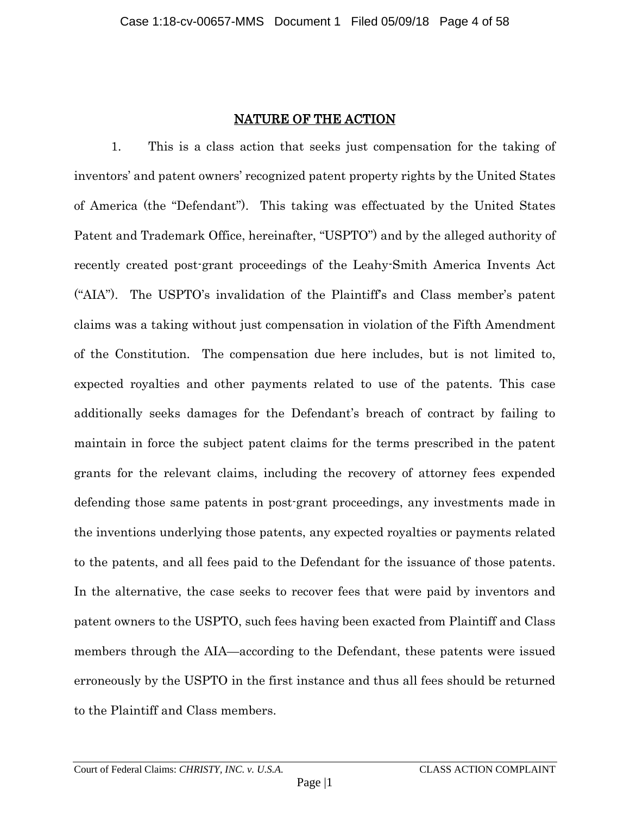### NATURE OF THE ACTION

<span id="page-3-0"></span>1. This is a class action that seeks just compensation for the taking of inventors' and patent owners' recognized patent property rights by the United States of America (the "Defendant"). This taking was effectuated by the United States Patent and Trademark Office, hereinafter, "USPTO") and by the alleged authority of recently created post-grant proceedings of the Leahy-Smith America Invents Act ("AIA"). The USPTO's invalidation of the Plaintiff's and Class member's patent claims was a taking without just compensation in violation of the Fifth Amendment of the Constitution. The compensation due here includes, but is not limited to, expected royalties and other payments related to use of the patents. This case additionally seeks damages for the Defendant's breach of contract by failing to maintain in force the subject patent claims for the terms prescribed in the patent grants for the relevant claims, including the recovery of attorney fees expended defending those same patents in post-grant proceedings, any investments made in the inventions underlying those patents, any expected royalties or payments related to the patents, and all fees paid to the Defendant for the issuance of those patents. In the alternative, the case seeks to recover fees that were paid by inventors and patent owners to the USPTO, such fees having been exacted from Plaintiff and Class members through the AIA—according to the Defendant, these patents were issued erroneously by the USPTO in the first instance and thus all fees should be returned to the Plaintiff and Class members.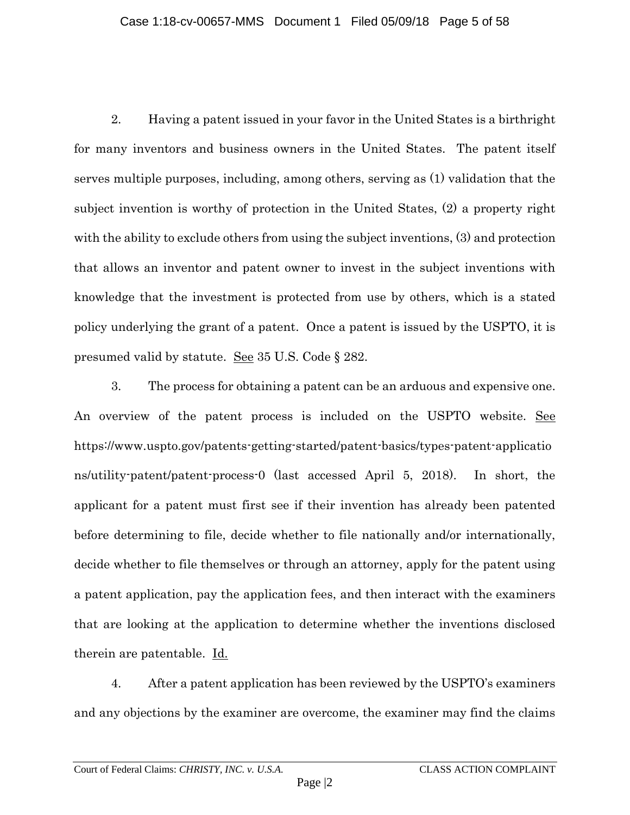2. Having a patent issued in your favor in the United States is a birthright for many inventors and business owners in the United States. The patent itself serves multiple purposes, including, among others, serving as (1) validation that the subject invention is worthy of protection in the United States, (2) a property right with the ability to exclude others from using the subject inventions, (3) and protection that allows an inventor and patent owner to invest in the subject inventions with knowledge that the investment is protected from use by others, which is a stated policy underlying the grant of a patent. Once a patent is issued by the USPTO, it is presumed valid by statute. See 35 U.S. Code § 282.

3. The process for obtaining a patent can be an arduous and expensive one. An overview of the patent process is included on the USPTO website. See https://www.uspto.gov/patents-getting-started/patent-basics/types-patent-applicatio ns/utility-patent/patent-process-0 (last accessed April 5, 2018). In short, the applicant for a patent must first see if their invention has already been patented before determining to file, decide whether to file nationally and/or internationally, decide whether to file themselves or through an attorney, apply for the patent using a patent application, pay the application fees, and then interact with the examiners that are looking at the application to determine whether the inventions disclosed therein are patentable. Id.

4. After a patent application has been reviewed by the USPTO's examiners and any objections by the examiner are overcome, the examiner may find the claims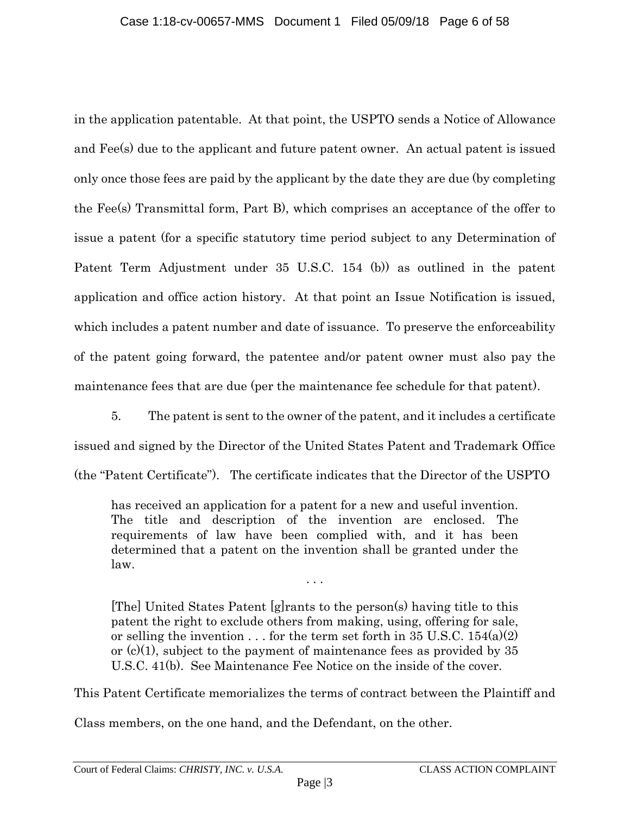in the application patentable. At that point, the USPTO sends a Notice of Allowance and Fee(s) due to the applicant and future patent owner. An actual patent is issued only once those fees are paid by the applicant by the date they are due (by completing the Fee(s) Transmittal form, Part B), which comprises an acceptance of the offer to issue a patent (for a specific statutory time period subject to any Determination of Patent Term Adjustment under 35 U.S.C. 154 (b)) as outlined in the patent application and office action history. At that point an Issue Notification is issued, which includes a patent number and date of issuance. To preserve the enforceability of the patent going forward, the patentee and/or patent owner must also pay the maintenance fees that are due (per the maintenance fee schedule for that patent).

<span id="page-5-0"></span>5. The patent is sent to the owner of the patent, and it includes a certificate issued and signed by the Director of the United States Patent and Trademark Office (the "Patent Certificate"). The certificate indicates that the Director of the USPTO

has received an application for a patent for a new and useful invention. The title and description of the invention are enclosed. The requirements of law have been complied with, and it has been determined that a patent on the invention shall be granted under the law.

. . .

[The] United States Patent [g]rants to the person(s) having title to this patent the right to exclude others from making, using, offering for sale, or selling the invention . . . for the term set forth in 35 U.S.C.  $154(a)(2)$ or  $(c)(1)$ , subject to the payment of maintenance fees as provided by 35 U.S.C. 41(b). See Maintenance Fee Notice on the inside of the cover.

This Patent Certificate memorializes the terms of contract between the Plaintiff and

Class members, on the one hand, and the Defendant, on the other.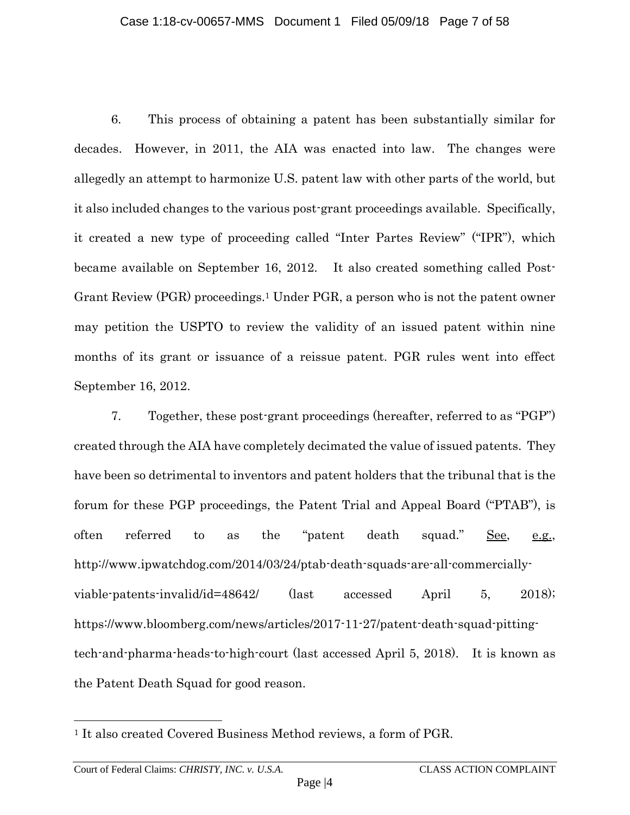6. This process of obtaining a patent has been substantially similar for decades. However, in 2011, the AIA was enacted into law. The changes were allegedly an attempt to harmonize U.S. patent law with other parts of the world, but it also included changes to the various post-grant proceedings available. Specifically, it created a new type of proceeding called "Inter Partes Review" ("IPR"), which became available on September 16, 2012. It also created something called Post-Grant Review (PGR) proceedings.<sup>1</sup> Under PGR, a person who is not the patent owner may petition the USPTO to review the validity of an issued patent within nine months of its grant or issuance of a reissue patent. PGR rules went into effect September 16, 2012.

7. Together, these post-grant proceedings (hereafter, referred to as "PGP") created through the AIA have completely decimated the value of issued patents. They have been so detrimental to inventors and patent holders that the tribunal that is the forum for these PGP proceedings, the Patent Trial and Appeal Board ("PTAB"), is often referred to as the "patent death squad." <u>See, e.g.,</u> http://www.ipwatchdog.com/2014/03/24/ptab-death-squads-are-all-commerciallyviable-patents-invalid/id=48642/ (last accessed April 5, 2018); https://www.bloomberg.com/news/articles/2017-11-27/patent-death-squad-pittingtech-and-pharma-heads-to-high-court (last accessed April 5, 2018). It is known as the Patent Death Squad for good reason.

l

<sup>1</sup> It also created Covered Business Method reviews, a form of PGR.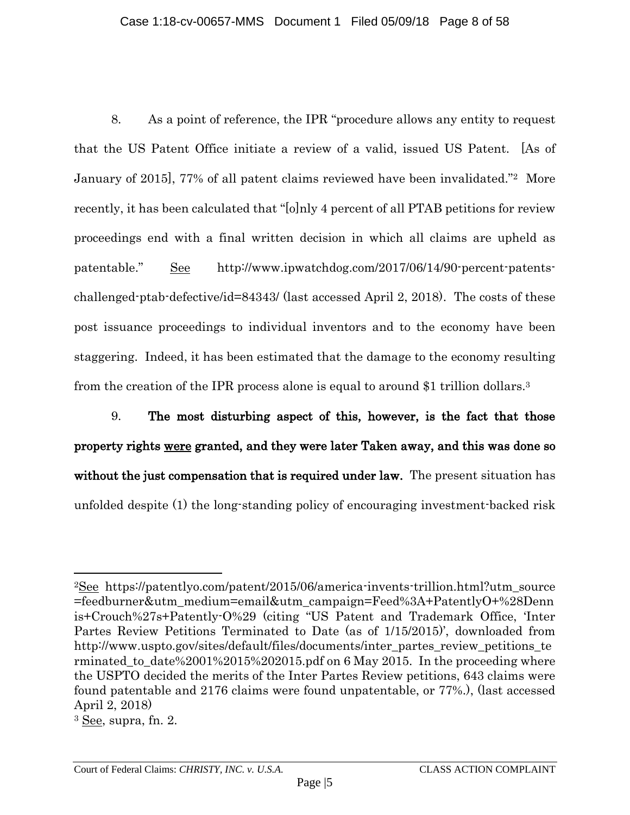<span id="page-7-1"></span><span id="page-7-0"></span>8. As a point of reference, the IPR "procedure allows any entity to request that the US Patent Office initiate a review of a valid, issued US Patent. [As of January of 2015], 77% of all patent claims reviewed have been invalidated."<sup>2</sup> More recently, it has been calculated that "[o]nly 4 percent of all PTAB petitions for review proceedings end with a final written decision in which all claims are upheld as patentable." See http://www.ipwatchdog.com/2017/06/14/90-percent-patentschallenged-ptab-defective/id=84343/ (last accessed April 2, 2018). The costs of these post issuance proceedings to individual inventors and to the economy have been staggering. Indeed, it has been estimated that the damage to the economy resulting from the creation of the IPR process alone is equal to around \$1 trillion dollars.<sup>3</sup>

9. The most disturbing aspect of this, however, is the fact that those property rights were granted, and they were later Taken away, and this was done so without the just compensation that is required under law. The present situation has unfolded despite (1) the long-standing policy of encouraging investment-backed risk

 $\overline{a}$ 

<sup>2</sup>See https://patentlyo.com/patent/2015/06/america-invents-trillion.html?utm\_source =feedburner&utm\_medium=email&utm\_campaign=Feed%3A+PatentlyO+%28Denn is+Crouch%27s+Patently-O%29 (citing "US Patent and Trademark Office, 'Inter Partes Review Petitions Terminated to Date (as of 1/15/2015)', downloaded from http://www.uspto.gov/sites/default/files/documents/inter\_partes\_review\_petitions\_te rminated\_to\_date%2001%2015%202015.pdf on 6 May 2015. In the proceeding where the USPTO decided the merits of the Inter Partes Review petitions, 643 claims were found patentable and 2176 claims were found unpatentable, or 77%.), (last accessed April 2, 2018)

<sup>3</sup> See, supra, fn. [2.](#page-7-0)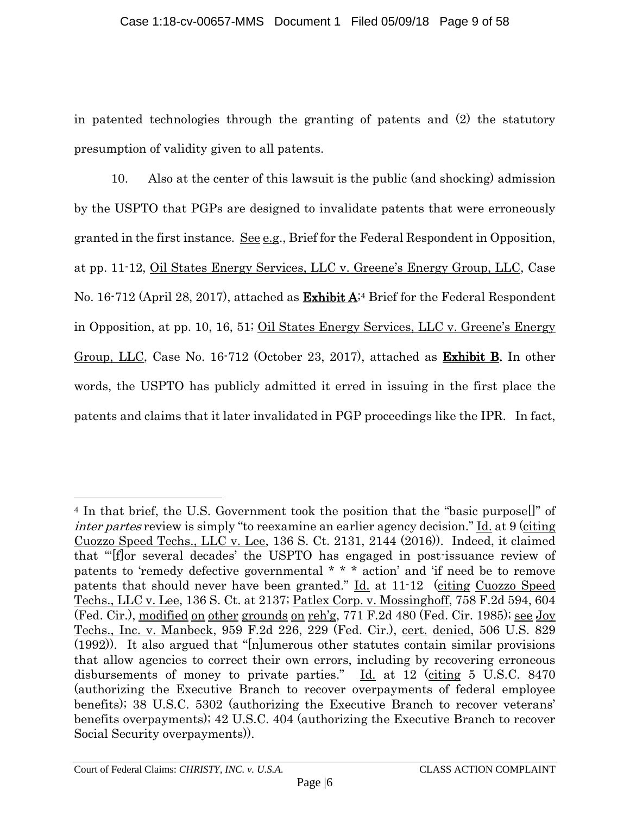in patented technologies through the granting of patents and (2) the statutory presumption of validity given to all patents.

10. Also at the center of this lawsuit is the public (and shocking) admission by the USPTO that PGPs are designed to invalidate patents that were erroneously granted in the first instance. See e.g., Brief for the Federal Respondent in Opposition, at pp. 11-12, Oil States Energy Services, LLC v. Greene's Energy Group, LLC, Case No. 16-712 (April 28, 2017), attached as **Exhibit A**<sup>;4</sup> Brief for the Federal Respondent in Opposition, at pp. 10, 16, 51; Oil States Energy Services, LLC v. Greene's Energy Group, LLC, Case No. 16-712 (October 23, 2017), attached as Exhibit B. In other words, the USPTO has publicly admitted it erred in issuing in the first place the patents and claims that it later invalidated in PGP proceedings like the IPR. In fact,

 $\overline{a}$ 

<sup>&</sup>lt;sup>4</sup> In that brief, the U.S. Government took the position that the "basic purpose" of inter partes review is simply "to reexamine an earlier agency decision." Id. at 9 (citing Cuozzo Speed Techs., LLC v. Lee, 136 S. Ct. 2131, 2144 (2016)). Indeed, it claimed that "'[f]or several decades' the USPTO has engaged in post-issuance review of patents to 'remedy defective governmental \* \* \* action' and 'if need be to remove patents that should never have been granted." Id. at 11-12 (citing Cuozzo Speed Techs., LLC v. Lee, 136 S. Ct. at 2137; Patlex Corp. v. Mossinghoff, 758 F.2d 594, 604 (Fed. Cir.), modified on other grounds on reh'g, 771 F.2d 480 (Fed. Cir. 1985); see Joy Techs., Inc. v. Manbeck, 959 F.2d 226, 229 (Fed. Cir.), cert. denied, 506 U.S. 829 (1992)). It also argued that "[n]umerous other statutes contain similar provisions that allow agencies to correct their own errors, including by recovering erroneous disbursements of money to private parties." Id. at 12 (citing 5 U.S.C. 8470 (authorizing the Executive Branch to recover overpayments of federal employee benefits); 38 U.S.C. 5302 (authorizing the Executive Branch to recover veterans' benefits overpayments); 42 U.S.C. 404 (authorizing the Executive Branch to recover Social Security overpayments)).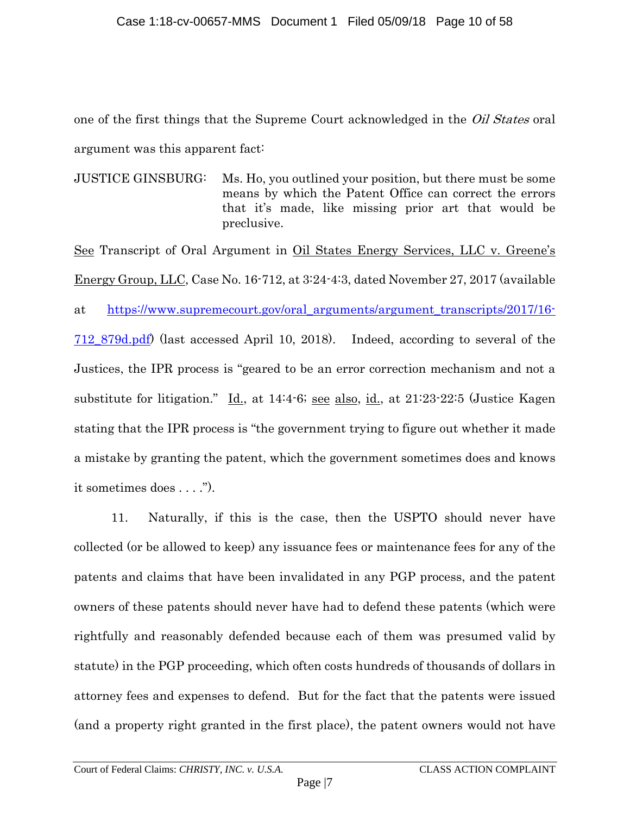one of the first things that the Supreme Court acknowledged in the Oil States oral argument was this apparent fact:

JUSTICE GINSBURG: Ms. Ho, you outlined your position, but there must be some means by which the Patent Office can correct the errors that it's made, like missing prior art that would be preclusive.

See Transcript of Oral Argument in Oil States Energy Services, LLC v. Greene's Energy Group, LLC, Case No. 16-712, at 3:24-4:3, dated November 27, 2017 (available at [https://www.supremecourt.gov/oral\\_arguments/argument\\_transcripts/2017/16-](https://www.supremecourt.gov/oral_arguments/argument_transcripts/2017/16-712_879d.pdf) [712\\_879d.pdf\)](https://www.supremecourt.gov/oral_arguments/argument_transcripts/2017/16-712_879d.pdf) (last accessed April 10, 2018). Indeed, according to several of the Justices, the IPR process is "geared to be an error correction mechanism and not a substitute for litigation."  $\underline{Id}$ , at 14:4-6; <u>see also, id.</u>, at 21:23-22:5 (Justice Kagen stating that the IPR process is "the government trying to figure out whether it made a mistake by granting the patent, which the government sometimes does and knows it sometimes does . . . .").

<span id="page-9-0"></span>11. Naturally, if this is the case, then the USPTO should never have collected (or be allowed to keep) any issuance fees or maintenance fees for any of the patents and claims that have been invalidated in any PGP process, and the patent owners of these patents should never have had to defend these patents (which were rightfully and reasonably defended because each of them was presumed valid by statute) in the PGP proceeding, which often costs hundreds of thousands of dollars in attorney fees and expenses to defend. But for the fact that the patents were issued (and a property right granted in the first place), the patent owners would not have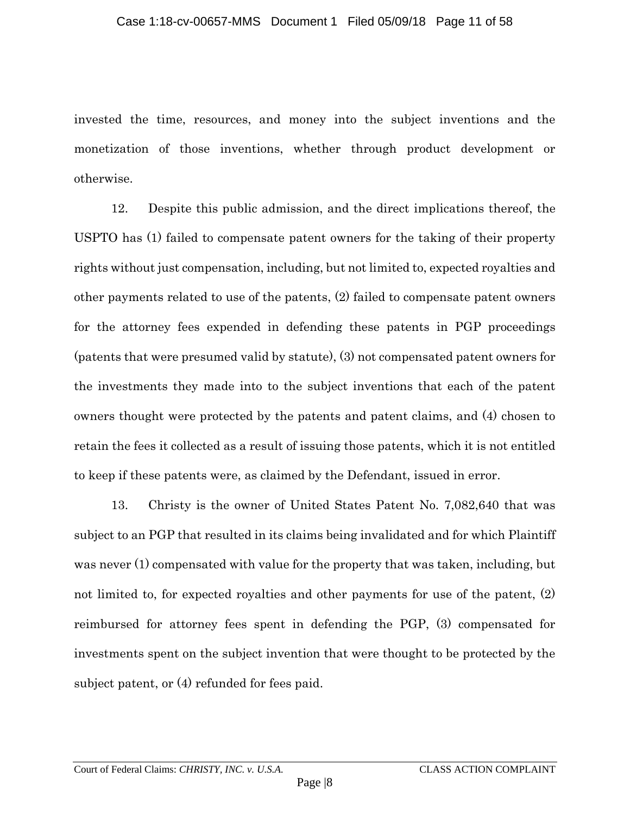invested the time, resources, and money into the subject inventions and the monetization of those inventions, whether through product development or otherwise.

12. Despite this public admission, and the direct implications thereof, the USPTO has (1) failed to compensate patent owners for the taking of their property rights without just compensation, including, but not limited to, expected royalties and other payments related to use of the patents, (2) failed to compensate patent owners for the attorney fees expended in defending these patents in PGP proceedings (patents that were presumed valid by statute), (3) not compensated patent owners for the investments they made into to the subject inventions that each of the patent owners thought were protected by the patents and patent claims, and (4) chosen to retain the fees it collected as a result of issuing those patents, which it is not entitled to keep if these patents were, as claimed by the Defendant, issued in error.

13. Christy is the owner of United States Patent No. 7,082,640 that was subject to an PGP that resulted in its claims being invalidated and for which Plaintiff was never (1) compensated with value for the property that was taken, including, but not limited to, for expected royalties and other payments for use of the patent, (2) reimbursed for attorney fees spent in defending the PGP, (3) compensated for investments spent on the subject invention that were thought to be protected by the subject patent, or (4) refunded for fees paid.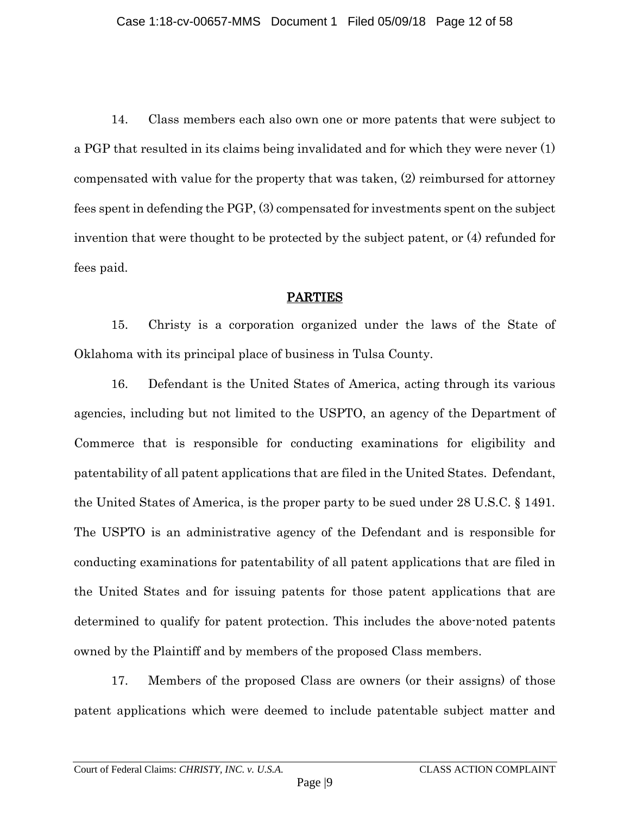14. Class members each also own one or more patents that were subject to a PGP that resulted in its claims being invalidated and for which they were never (1) compensated with value for the property that was taken, (2) reimbursed for attorney fees spent in defending the PGP, (3) compensated for investments spent on the subject invention that were thought to be protected by the subject patent, or (4) refunded for fees paid.

### PARTIES

<span id="page-11-0"></span>15. Christy is a corporation organized under the laws of the State of Oklahoma with its principal place of business in Tulsa County.

16. Defendant is the United States of America, acting through its various agencies, including but not limited to the USPTO, an agency of the Department of Commerce that is responsible for conducting examinations for eligibility and patentability of all patent applications that are filed in the United States. Defendant, the United States of America, is the proper party to be sued under 28 U.S.C. § 1491. The USPTO is an administrative agency of the Defendant and is responsible for conducting examinations for patentability of all patent applications that are filed in the United States and for issuing patents for those patent applications that are determined to qualify for patent protection. This includes the above-noted patents owned by the Plaintiff and by members of the proposed Class members.

17. Members of the proposed Class are owners (or their assigns) of those patent applications which were deemed to include patentable subject matter and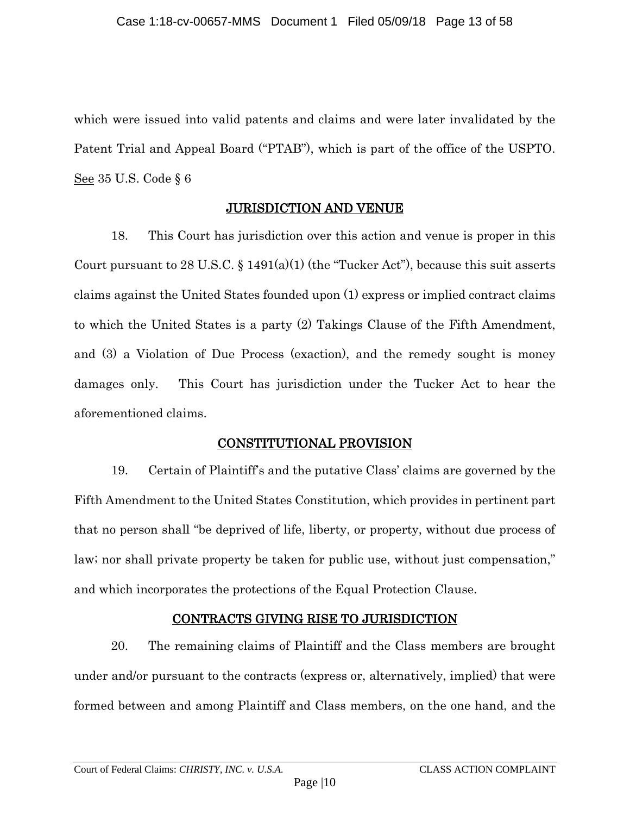which were issued into valid patents and claims and were later invalidated by the Patent Trial and Appeal Board ("PTAB"), which is part of the office of the USPTO. See 35 U.S. Code § 6

### JURISDICTION AND VENUE

<span id="page-12-0"></span>18. This Court has jurisdiction over this action and venue is proper in this Court pursuant to 28 U.S.C.  $\S$  1491(a)(1) (the "Tucker Act"), because this suit asserts claims against the United States founded upon (1) express or implied contract claims to which the United States is a party (2) Takings Clause of the Fifth Amendment, and (3) a Violation of Due Process (exaction), and the remedy sought is money damages only. This Court has jurisdiction under the Tucker Act to hear the aforementioned claims.

### CONSTITUTIONAL PROVISION

<span id="page-12-1"></span>19. Certain of Plaintiff's and the putative Class' claims are governed by the Fifth Amendment to the United States Constitution, which provides in pertinent part that no person shall "be deprived of life, liberty, or property, without due process of law; nor shall private property be taken for public use, without just compensation," and which incorporates the protections of the Equal Protection Clause.

# CONTRACTS GIVING RISE TO JURISDICTION

<span id="page-12-2"></span>20. The remaining claims of Plaintiff and the Class members are brought under and/or pursuant to the contracts (express or, alternatively, implied) that were formed between and among Plaintiff and Class members, on the one hand, and the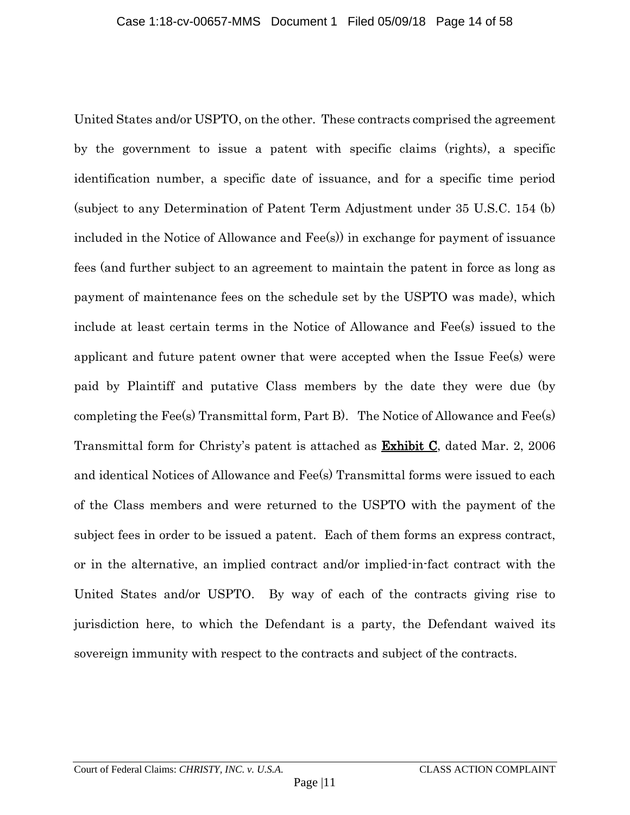United States and/or USPTO, on the other. These contracts comprised the agreement by the government to issue a patent with specific claims (rights), a specific identification number, a specific date of issuance, and for a specific time period (subject to any Determination of Patent Term Adjustment under 35 U.S.C. 154 (b) included in the Notice of Allowance and Fee(s)) in exchange for payment of issuance fees (and further subject to an agreement to maintain the patent in force as long as payment of maintenance fees on the schedule set by the USPTO was made), which include at least certain terms in the Notice of Allowance and Fee(s) issued to the applicant and future patent owner that were accepted when the Issue Fee(s) were paid by Plaintiff and putative Class members by the date they were due (by completing the Fee(s) Transmittal form, Part B). The Notice of Allowance and Fee(s) Transmittal form for Christy's patent is attached as **Exhibit C**, dated Mar. 2, 2006 and identical Notices of Allowance and Fee(s) Transmittal forms were issued to each of the Class members and were returned to the USPTO with the payment of the subject fees in order to be issued a patent. Each of them forms an express contract, or in the alternative, an implied contract and/or implied-in-fact contract with the United States and/or USPTO. By way of each of the contracts giving rise to jurisdiction here, to which the Defendant is a party, the Defendant waived its sovereign immunity with respect to the contracts and subject of the contracts.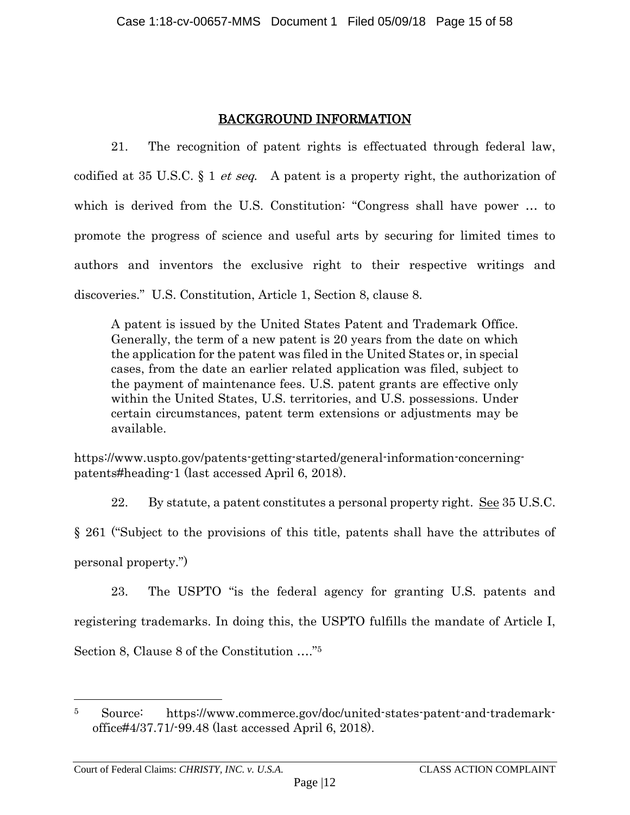### BACKGROUND INFORMATION

<span id="page-14-0"></span>21. The recognition of patent rights is effectuated through federal law, codified at 35 U.S.C.  $\S 1$  *et seq.* A patent is a property right, the authorization of which is derived from the U.S. Constitution: "Congress shall have power … to promote the progress of science and useful arts by securing for limited times to authors and inventors the exclusive right to their respective writings and discoveries." U.S. Constitution, Article 1, Section 8, clause 8.

A patent is issued by the United States Patent and Trademark Office. Generally, the term of a new patent is 20 years from the date on which the application for the patent was filed in the United States or, in special cases, from the date an earlier related application was filed, subject to the payment of maintenance fees. U.S. patent grants are effective only within the United States, U.S. territories, and U.S. possessions. Under certain circumstances, patent term extensions or adjustments may be available.

https://www.uspto.gov/patents-getting-started/general-information-concerningpatents#heading-1 (last accessed April 6, 2018).

22. By statute, a patent constitutes a personal property right. See 35 U.S.C.

§ 261 ("Subject to the provisions of this title, patents shall have the attributes of

personal property.")

 $\overline{\phantom{a}}$ 

23. The USPTO "is the federal agency for granting U.S. patents and registering trademarks. In doing this, the USPTO fulfills the mandate of Article I, Section 8, Clause 8 of the Constitution …."<sup>5</sup>

<sup>5</sup> Source: https://www.commerce.gov/doc/united-states-patent-and-trademarkoffice#4/37.71/-99.48 (last accessed April 6, 2018).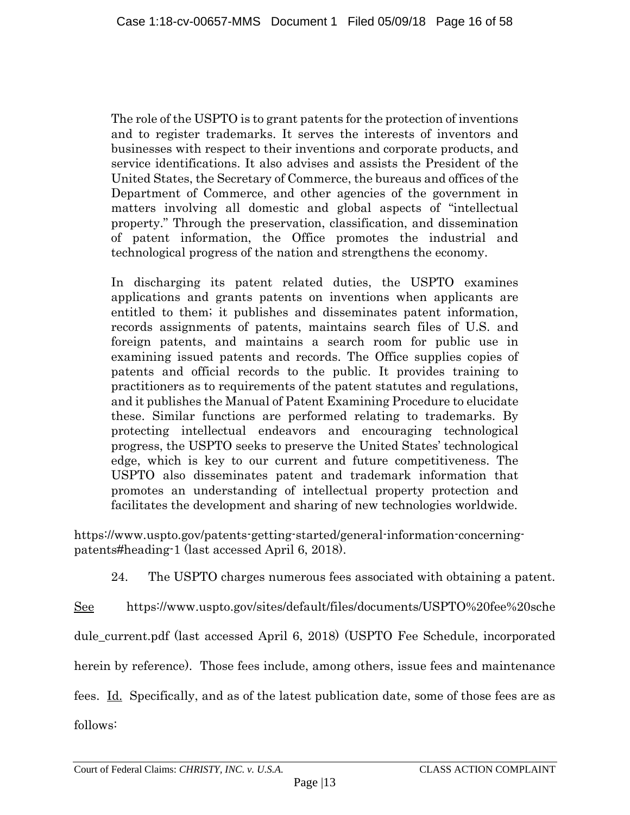The role of the USPTO is to grant patents for the protection of inventions and to register trademarks. It serves the interests of inventors and businesses with respect to their inventions and corporate products, and service identifications. It also advises and assists the President of the United States, the Secretary of Commerce, the bureaus and offices of the Department of Commerce, and other agencies of the government in matters involving all domestic and global aspects of "intellectual property." Through the preservation, classification, and dissemination of patent information, the Office promotes the industrial and technological progress of the nation and strengthens the economy.

In discharging its patent related duties, the USPTO examines applications and grants patents on inventions when applicants are entitled to them; it publishes and disseminates patent information, records assignments of patents, maintains search files of U.S. and foreign patents, and maintains a search room for public use in examining issued patents and records. The Office supplies copies of patents and official records to the public. It provides training to practitioners as to requirements of the patent statutes and regulations, and it publishes the Manual of Patent Examining Procedure to elucidate these. Similar functions are performed relating to trademarks. By protecting intellectual endeavors and encouraging technological progress, the USPTO seeks to preserve the United States' technological edge, which is key to our current and future competitiveness. The USPTO also disseminates patent and trademark information that promotes an understanding of intellectual property protection and facilitates the development and sharing of new technologies worldwide.

https://www.uspto.gov/patents-getting-started/general-information-concerningpatents#heading-1 (last accessed April 6, 2018).

24. The USPTO charges numerous fees associated with obtaining a patent.

See https://www.uspto.gov/sites/default/files/documents/USPTO%20fee%20sche

dule\_current.pdf (last accessed April 6, 2018) (USPTO Fee Schedule, incorporated

herein by reference). Those fees include, among others, issue fees and maintenance

fees. Id. Specifically, and as of the latest publication date, some of those fees are as follows: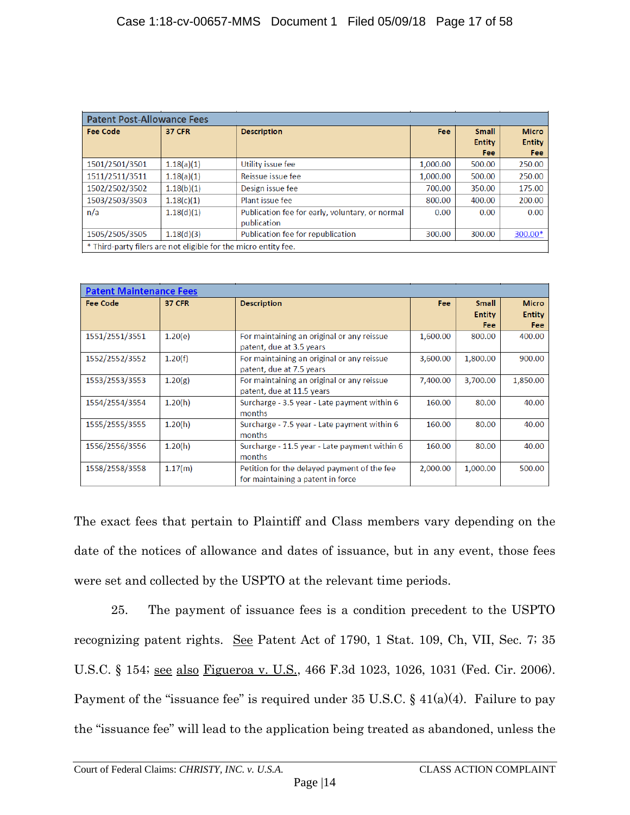| <b>Patent Post-Allowance Fees</b>                               |               |                                                 |            |               |               |  |  |  |
|-----------------------------------------------------------------|---------------|-------------------------------------------------|------------|---------------|---------------|--|--|--|
| <b>Fee Code</b>                                                 | <b>37 CFR</b> | <b>Description</b>                              | <b>Fee</b> | <b>Small</b>  | <b>Micro</b>  |  |  |  |
|                                                                 |               |                                                 |            | <b>Entity</b> | <b>Entity</b> |  |  |  |
|                                                                 |               |                                                 |            | Fee:          | Fee           |  |  |  |
| 1501/2501/3501                                                  | 1.18(a)(1)    | Utility issue fee                               | 1.000.00   | 500.00        | 250.00        |  |  |  |
| 1511/2511/3511                                                  | 1.18(a)(1)    | Reissue issue fee                               | 1.000.00   | 500.00        | 250.00        |  |  |  |
| 1502/2502/3502                                                  | 1.18(b)(1)    | Design issue fee                                | 700.00     | 350.00        | 175.00        |  |  |  |
| 1503/2503/3503                                                  | 1.18(c)(1)    | Plant issue fee                                 | 800.00     | 400.00        | 200.00        |  |  |  |
| n/a                                                             | 1.18(d)(1)    | Publication fee for early, voluntary, or normal | 0.00       | 0.00          | 0.00          |  |  |  |
|                                                                 |               | publication                                     |            |               |               |  |  |  |
| 1505/2505/3505                                                  | 1.18(d)(3)    | Publication fee for republication               | 300.00     | 300.00        | 300.00*       |  |  |  |
| * Third-party filers are not eligible for the micro entity fee. |               |                                                 |            |               |               |  |  |  |

| <b>Patent Maintenance Fees</b> |               |                                                                                  |            |                                      |                                      |  |  |  |
|--------------------------------|---------------|----------------------------------------------------------------------------------|------------|--------------------------------------|--------------------------------------|--|--|--|
| <b>Fee Code</b>                | <b>37 CFR</b> | <b>Description</b>                                                               | <b>Fee</b> | <b>Small</b><br><b>Entity</b><br>Fee | <b>Micro</b><br><b>Entity</b><br>Fee |  |  |  |
| 1551/2551/3551                 | 1.20(e)       | For maintaining an original or any reissue<br>patent, due at 3.5 years           | 1,600.00   | 800.00                               | 400.00                               |  |  |  |
| 1552/2552/3552                 | 1.20(f)       | For maintaining an original or any reissue<br>patent, due at 7.5 years           | 3,600.00   | 1,800.00                             | 900.00                               |  |  |  |
| 1553/2553/3553                 | 1.20(g)       | For maintaining an original or any reissue<br>patent, due at 11.5 years          | 7.400.00   | 3,700.00                             | 1,850.00                             |  |  |  |
| 1554/2554/3554                 | 1.20(h)       | Surcharge - 3.5 year - Late payment within 6<br>months                           | 160.00     | 80.00                                | 40.00                                |  |  |  |
| 1555/2555/3555                 | 1.20(h)       | Surcharge - 7.5 year - Late payment within 6<br>months                           | 160.00     | 80.00                                | 40.00                                |  |  |  |
| 1556/2556/3556                 | 1.20(h)       | Surcharge - 11.5 year - Late payment within 6<br>months                          | 160.00     | 80.00                                | 40.00                                |  |  |  |
| 1558/2558/3558                 | 1.17(m)       | Petition for the delayed payment of the fee<br>for maintaining a patent in force | 2,000.00   | 1,000.00                             | 500.00                               |  |  |  |

The exact fees that pertain to Plaintiff and Class members vary depending on the date of the notices of allowance and dates of issuance, but in any event, those fees were set and collected by the USPTO at the relevant time periods.

25. The payment of issuance fees is a condition precedent to the USPTO recognizing patent rights. See Patent Act of 1790, 1 Stat. 109, Ch, VII, Sec. 7; 35 U.S.C. § 154; see also Figueroa v. U.S., 466 F.3d 1023, 1026, 1031 (Fed. Cir. 2006). Payment of the "issuance fee" is required under 35 U.S.C.  $\S$  41(a)(4). Failure to pay the "issuance fee" will lead to the application being treated as abandoned, unless the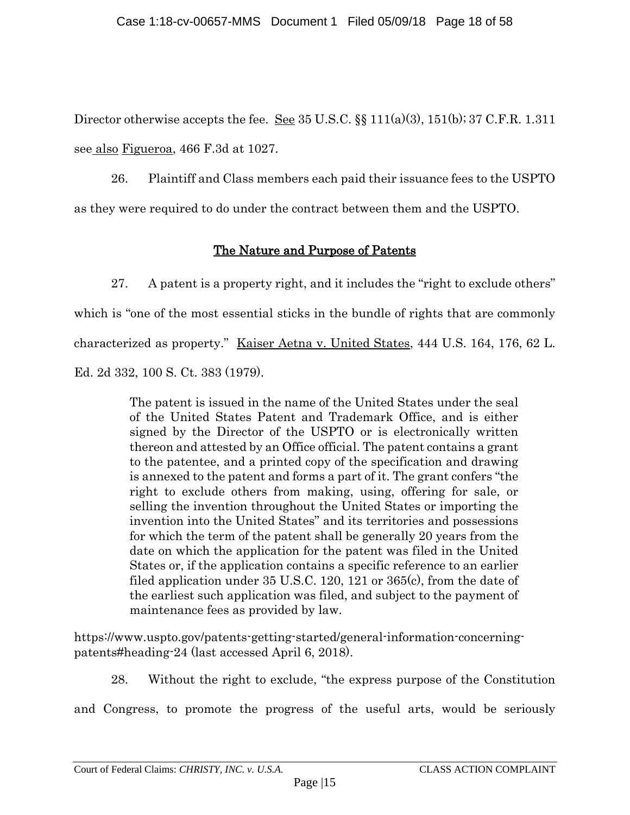Director otherwise accepts the fee. See 35 U.S.C. §§ 111(a)(3), 151(b); 37 C.F.R. 1.311 see also Figueroa, 466 F.3d at 1027.

26. Plaintiff and Class members each paid their issuance fees to the USPTO as they were required to do under the contract between them and the USPTO.

## The Nature and Purpose of Patents

<span id="page-17-0"></span>27. A patent is a property right, and it includes the "right to exclude others" which is "one of the most essential sticks in the bundle of rights that are commonly characterized as property." Kaiser Aetna v. United States, 444 U.S. 164, 176, 62 L. Ed. 2d 332, 100 S. Ct. 383 (1979).

> The patent is issued in the name of the United States under the seal of the United States Patent and Trademark Office, and is either signed by the Director of the USPTO or is electronically written thereon and attested by an Office official. The patent contains a grant to the patentee, and a printed copy of the specification and drawing is annexed to the patent and forms a part of it. The grant confers "the right to exclude others from making, using, offering for sale, or selling the invention throughout the United States or importing the invention into the United States" and its territories and possessions for which the term of the patent shall be generally 20 years from the date on which the application for the patent was filed in the United States or, if the application contains a specific reference to an earlier filed application under 35 U.S.C. 120, 121 or 365(c), from the date of the earliest such application was filed, and subject to the payment of maintenance fees as provided by law.

https://www.uspto.gov/patents-getting-started/general-information-concerningpatents#heading-24 (last accessed April 6, 2018).

28. Without the right to exclude, "the express purpose of the Constitution

and Congress, to promote the progress of the useful arts, would be seriously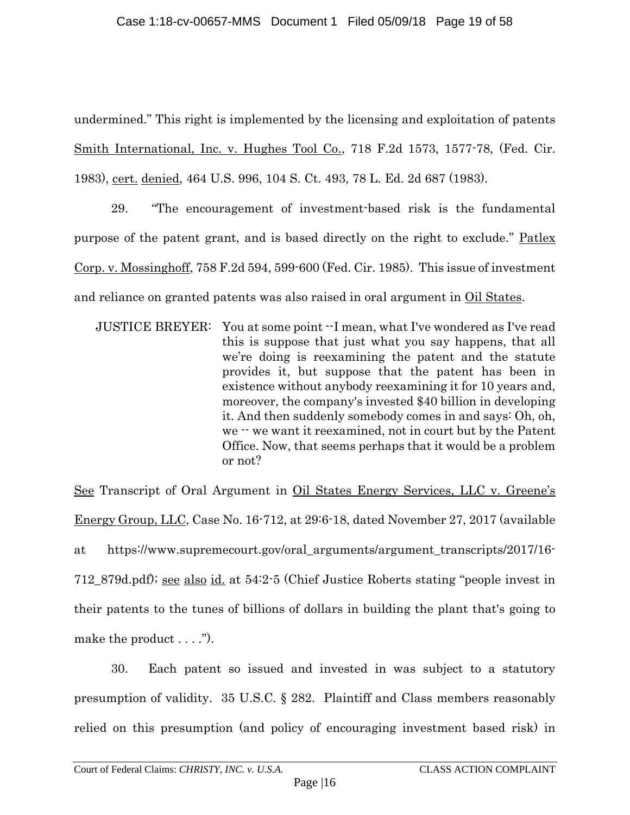undermined." This right is implemented by the licensing and exploitation of patents Smith International, Inc. v. Hughes Tool Co., 718 F.2d 1573, 1577-78, (Fed. Cir. 1983), cert. denied, 464 U.S. 996, 104 S. Ct. 493, 78 L. Ed. 2d 687 (1983).

29. "The encouragement of investment-based risk is the fundamental purpose of the patent grant, and is based directly on the right to exclude." Patlex Corp. v. Mossinghoff, 758 F.2d 594, 599-600 (Fed. Cir. 1985). This issue of investment and reliance on granted patents was also raised in oral argument in Oil States.

JUSTICE BREYER: You at some point --I mean, what I've wondered as I've read this is suppose that just what you say happens, that all we're doing is reexamining the patent and the statute provides it, but suppose that the patent has been in existence without anybody reexamining it for 10 years and, moreover, the company's invested \$40 billion in developing it. And then suddenly somebody comes in and says: Oh, oh, we -- we want it reexamined, not in court but by the Patent Office. Now, that seems perhaps that it would be a problem or not?

See Transcript of Oral Argument in Oil States Energy Services, LLC v. Greene's Energy Group, LLC, Case No. 16-712, at 29:6-18, dated November 27, 2017 (available at https://www.supremecourt.gov/oral\_arguments/argument\_transcripts/2017/16- 712\_879d.pdf); see also id. at 54:2-5 (Chief Justice Roberts stating "people invest in their patents to the tunes of billions of dollars in building the plant that's going to make the product . . . .").

30. Each patent so issued and invested in was subject to a statutory presumption of validity. 35 U.S.C. § 282. Plaintiff and Class members reasonably relied on this presumption (and policy of encouraging investment based risk) in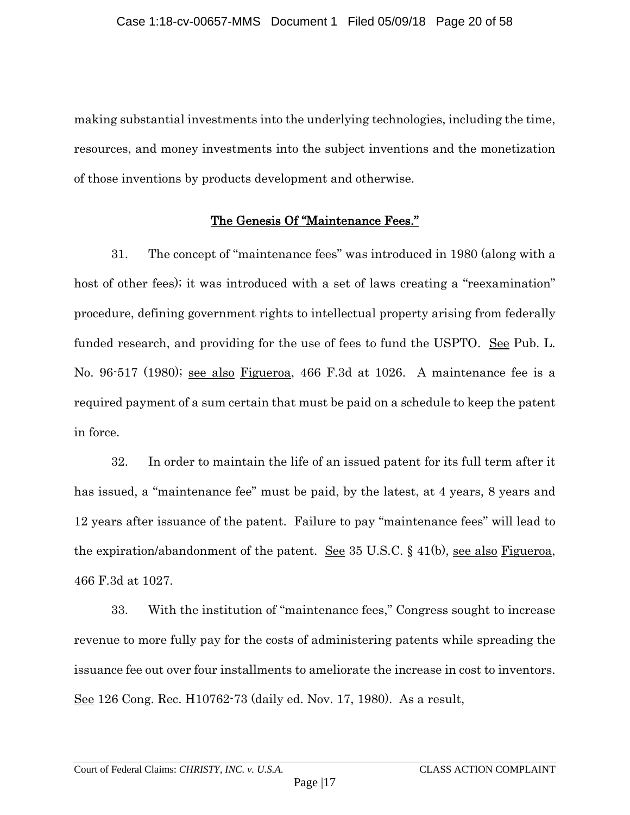making substantial investments into the underlying technologies, including the time, resources, and money investments into the subject inventions and the monetization of those inventions by products development and otherwise.

### The Genesis Of "Maintenance Fees."

<span id="page-19-0"></span>31. The concept of "maintenance fees" was introduced in 1980 (along with a host of other fees); it was introduced with a set of laws creating a "reexamination" procedure, defining government rights to intellectual property arising from federally funded research, and providing for the use of fees to fund the USPTO. See Pub. L. No. 96-517 (1980); see also Figueroa, 466 F.3d at 1026. A maintenance fee is a required payment of a sum certain that must be paid on a schedule to keep the patent in force.

32. In order to maintain the life of an issued patent for its full term after it has issued, a "maintenance fee" must be paid, by the latest, at 4 years, 8 years and 12 years after issuance of the patent. Failure to pay "maintenance fees" will lead to the expiration/abandonment of the patent. See 35 U.S.C. § 41(b), see also Figueroa, 466 F.3d at 1027.

33. With the institution of "maintenance fees," Congress sought to increase revenue to more fully pay for the costs of administering patents while spreading the issuance fee out over four installments to ameliorate the increase in cost to inventors. See 126 Cong. Rec. H10762-73 (daily ed. Nov. 17, 1980). As a result,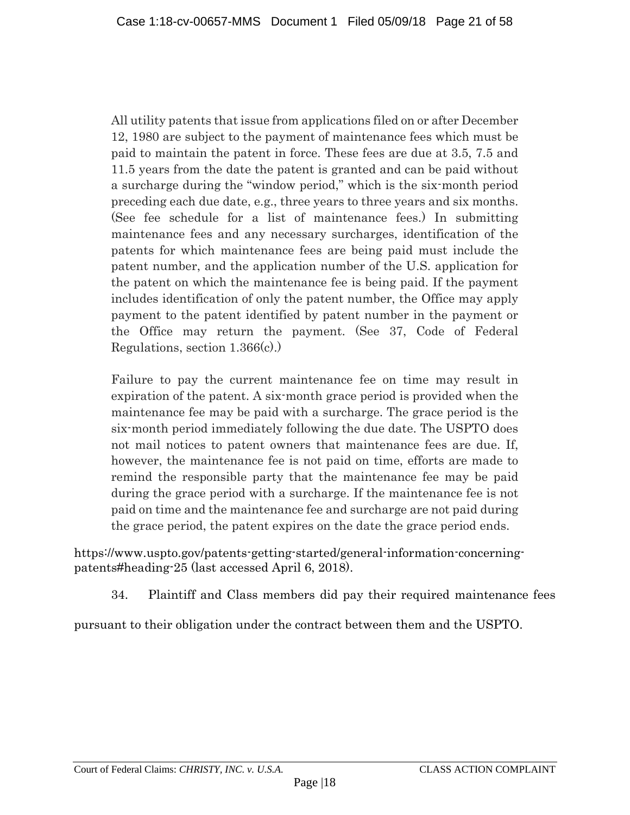All utility patents that issue from applications filed on or after December 12, 1980 are subject to the payment of maintenance fees which must be paid to maintain the patent in force. These fees are due at 3.5, 7.5 and 11.5 years from the date the patent is granted and can be paid without a surcharge during the "window period," which is the six-month period preceding each due date, e.g., three years to three years and six months. (See fee schedule for a list of maintenance fees.) In submitting maintenance fees and any necessary surcharges, identification of the patents for which maintenance fees are being paid must include the patent number, and the application number of the U.S. application for the patent on which the maintenance fee is being paid. If the payment includes identification of only the patent number, the Office may apply payment to the patent identified by patent number in the payment or the Office may return the payment. (See 37, Code of Federal Regulations, section 1.366(c).)

Failure to pay the current maintenance fee on time may result in expiration of the patent. A six-month grace period is provided when the maintenance fee may be paid with a surcharge. The grace period is the six-month period immediately following the due date. The USPTO does not mail notices to patent owners that maintenance fees are due. If, however, the maintenance fee is not paid on time, efforts are made to remind the responsible party that the maintenance fee may be paid during the grace period with a surcharge. If the maintenance fee is not paid on time and the maintenance fee and surcharge are not paid during the grace period, the patent expires on the date the grace period ends.

https://www.uspto.gov/patents-getting-started/general-information-concerningpatents#heading-25 (last accessed April 6, 2018).

34. Plaintiff and Class members did pay their required maintenance fees

pursuant to their obligation under the contract between them and the USPTO.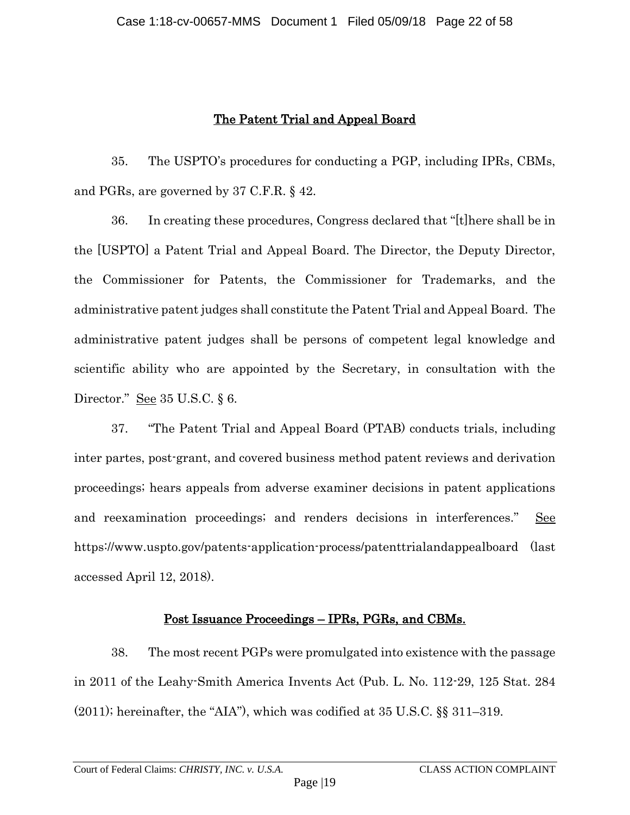# The Patent Trial and Appeal Board

35. The USPTO's procedures for conducting a PGP, including IPRs, CBMs, and PGRs, are governed by 37 C.F.R. § 42.

36. In creating these procedures, Congress declared that "[t]here shall be in the [USPTO] a Patent Trial and Appeal Board. The Director, the Deputy Director, the Commissioner for Patents, the Commissioner for Trademarks, and the administrative patent judges shall constitute the Patent Trial and Appeal Board. The administrative patent judges shall be persons of competent legal knowledge and scientific ability who are appointed by the Secretary, in consultation with the Director." See 35 U.S.C. § 6.

37. "The Patent Trial and Appeal Board (PTAB) conducts trials, including inter partes, post-grant, and covered business method patent reviews and derivation proceedings; hears appeals from adverse examiner decisions in patent applications and reexamination proceedings; and renders decisions in interferences." See https://www.uspto.gov/patents-application-process/patenttrialandappealboard (last accessed April 12, 2018).

## Post Issuance Proceedings – IPRs, PGRs, and CBMs.

<span id="page-21-0"></span>38. The most recent PGPs were promulgated into existence with the passage in 2011 of the Leahy-Smith America Invents Act (Pub. L. No. 112-29, 125 Stat. 284 (2011); hereinafter, the "AIA"), which was codified at 35 U.S.C. §§ 311–319.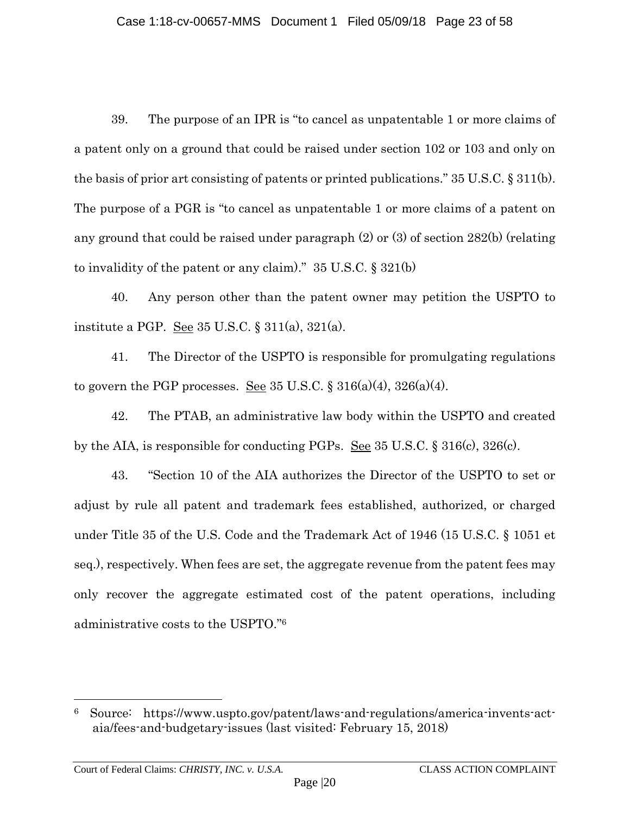39. The purpose of an IPR is "to cancel as unpatentable 1 or more claims of a patent only on a ground that could be raised under section 102 or 103 and only on the basis of prior art consisting of patents or printed publications." 35 U.S.C. § 311(b). The purpose of a PGR is "to cancel as unpatentable 1 or more claims of a patent on any ground that could be raised under paragraph (2) or (3) of section 282(b) (relating to invalidity of the patent or any claim)." 35 U.S.C. § 321(b)

40. Any person other than the patent owner may petition the USPTO to institute a PGP. See  $35 \text{ U.S.C.} \$   $311(a)$ ,  $321(a)$ .

41. The Director of the USPTO is responsible for promulgating regulations to govern the PGP processes. <u>See</u> 35 U.S.C.  $\S 316(a)(4)$ ,  $326(a)(4)$ .

42. The PTAB, an administrative law body within the USPTO and created by the AIA, is responsible for conducting PGPs. See 35 U.S.C. § 316(c), 326(c).

43. "Section 10 of the AIA authorizes the Director of the USPTO to set or adjust by rule all patent and trademark fees established, authorized, or charged under Title 35 of the U.S. Code and the Trademark Act of 1946 (15 U.S.C. § 1051 et seq.), respectively. When fees are set, the aggregate revenue from the patent fees may only recover the aggregate estimated cost of the patent operations, including administrative costs to the USPTO."<sup>6</sup>

 $\overline{\phantom{a}}$ 

<sup>6</sup> Source: https://www.uspto.gov/patent/laws-and-regulations/america-invents-actaia/fees-and-budgetary-issues (last visited: February 15, 2018)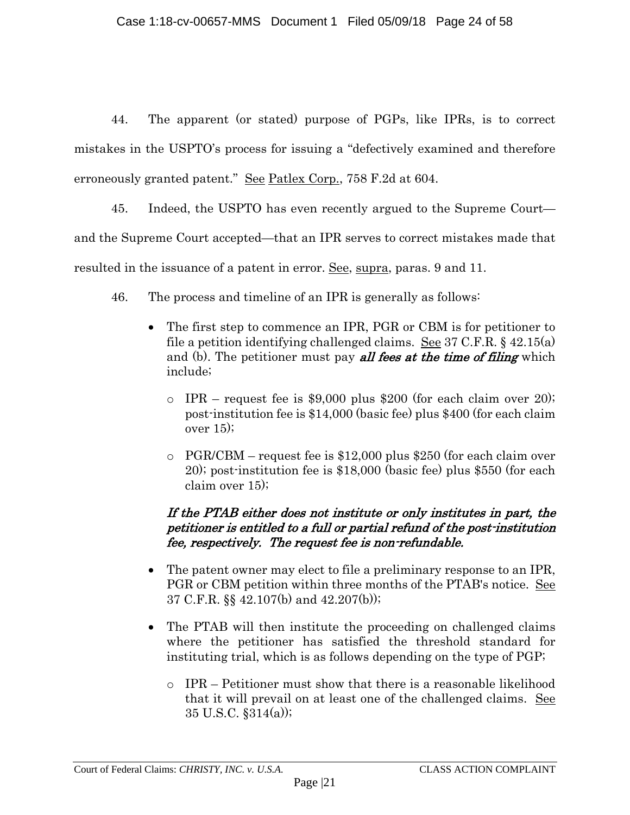44. The apparent (or stated) purpose of PGPs, like IPRs, is to correct mistakes in the USPTO's process for issuing a "defectively examined and therefore erroneously granted patent." See Patlex Corp., 758 F.2d at 604.

45. Indeed, the USPTO has even recently argued to the Supreme Court and the Supreme Court accepted—that an IPR serves to correct mistakes made that resulted in the issuance of a patent in error. See, supra, paras. 9 and [11.](#page-9-0)

- 46. The process and timeline of an IPR is generally as follows:
	- The first step to commence an IPR, PGR or CBM is for petitioner to file a petition identifying challenged claims. See 37 C.F.R. § 42.15(a) and (b). The petitioner must pay **all fees at the time of filing** which include;
		- o IPR request fee is \$9,000 plus \$200 (for each claim over 20); post-institution fee is \$14,000 (basic fee) plus \$400 (for each claim over  $15$ ;
		- $\circ$  PGR/CBM request fee is \$12,000 plus \$250 (for each claim over 20); post-institution fee is \$18,000 (basic fee) plus \$550 (for each claim over 15);

## If the PTAB either does not institute or only institutes in part, the petitioner is entitled to a full or partial refund of the post-institution fee, respectively. The request fee is non-refundable.

- The patent owner may elect to file a preliminary response to an IPR, PGR or CBM petition within three months of the PTAB's notice. See 37 C.F.R. §§ 42.107(b) and 42.207(b));
- The PTAB will then institute the proceeding on challenged claims where the petitioner has satisfied the threshold standard for instituting trial, which is as follows depending on the type of PGP;
	- $\circ$  IPR Petitioner must show that there is a reasonable likelihood that it will prevail on at least one of the challenged claims. See 35 U.S.C. §314(a));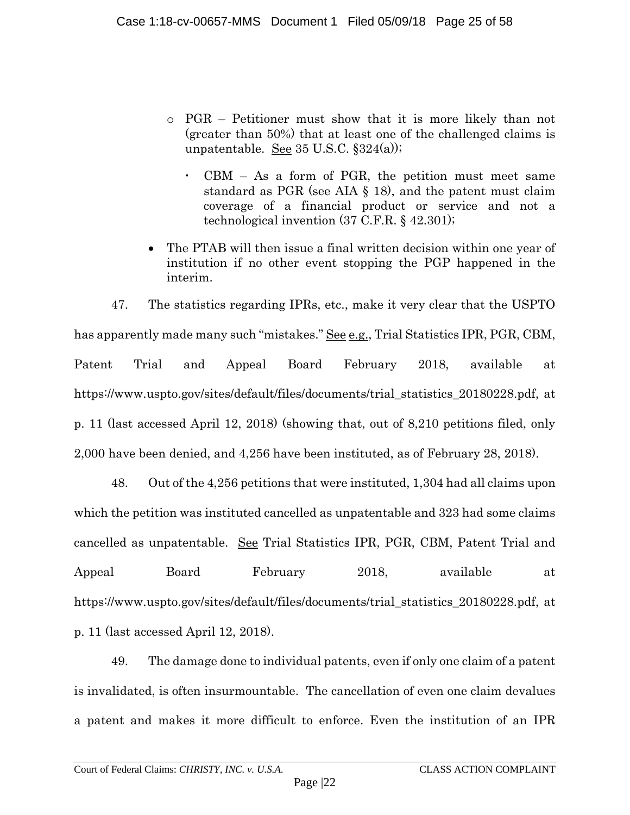- o PGR Petitioner must show that it is more likely than not (greater than 50%) that at least one of the challenged claims is unpatentable. See  $35 \text{ U.S.C. }$   $8324(a)$ ;
	- CBM As a form of PGR, the petition must meet same standard as PGR (see AIA § 18), and the patent must claim coverage of a financial product or service and not a technological invention (37 C.F.R. § 42.301);
- The PTAB will then issue a final written decision within one year of institution if no other event stopping the PGP happened in the interim.

47. The statistics regarding IPRs, etc., make it very clear that the USPTO has apparently made many such "mistakes." See e.g., Trial Statistics IPR, PGR, CBM, Patent Trial and Appeal Board February 2018, available at https://www.uspto.gov/sites/default/files/documents/trial\_statistics\_20180228.pdf, at p. 11 (last accessed April 12, 2018) (showing that, out of 8,210 petitions filed, only 2,000 have been denied, and 4,256 have been instituted, as of February 28, 2018).

48. Out of the 4,256 petitions that were instituted, 1,304 had all claims upon which the petition was instituted cancelled as unpatentable and 323 had some claims cancelled as unpatentable. See Trial Statistics IPR, PGR, CBM, Patent Trial and Appeal Board February 2018, available at https://www.uspto.gov/sites/default/files/documents/trial\_statistics\_20180228.pdf, at p. 11 (last accessed April 12, 2018).

49. The damage done to individual patents, even if only one claim of a patent is invalidated, is often insurmountable. The cancellation of even one claim devalues a patent and makes it more difficult to enforce. Even the institution of an IPR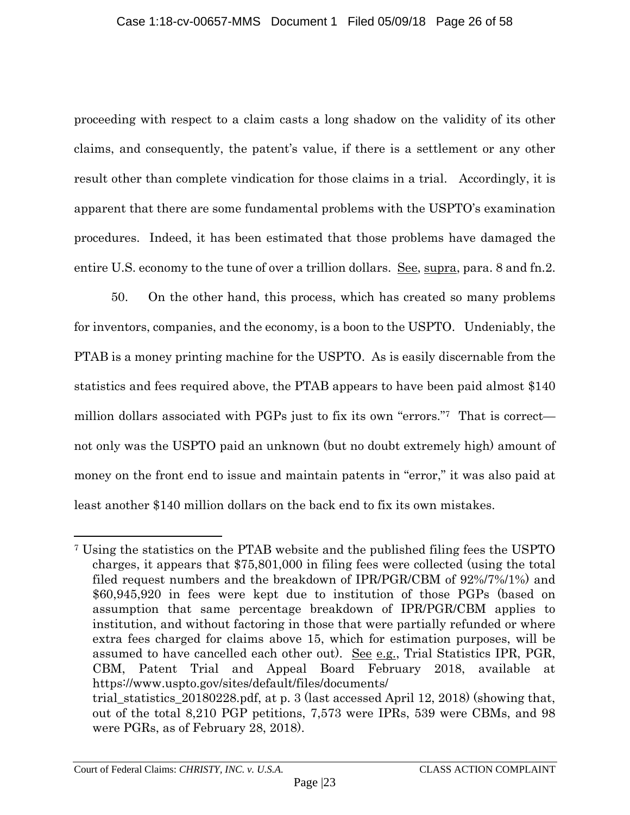proceeding with respect to a claim casts a long shadow on the validity of its other claims, and consequently, the patent's value, if there is a settlement or any other result other than complete vindication for those claims in a trial. Accordingly, it is apparent that there are some fundamental problems with the USPTO's examination procedures. Indeed, it has been estimated that those problems have damaged the entire U.S. economy to the tune of over a trillion dollars. See, supra, para. [8](#page-7-1) and fn[.2.](#page-7-0)

50. On the other hand, this process, which has created so many problems for inventors, companies, and the economy, is a boon to the USPTO. Undeniably, the PTAB is a money printing machine for the USPTO. As is easily discernable from the statistics and fees required above, the PTAB appears to have been paid almost \$140 million dollars associated with PGPs just to fix its own "errors."7 That is correct not only was the USPTO paid an unknown (but no doubt extremely high) amount of money on the front end to issue and maintain patents in "error," it was also paid at least another \$140 million dollars on the back end to fix its own mistakes.

were PGRs, as of February 28, 2018).

 $\overline{\phantom{a}}$ 

<sup>7</sup> Using the statistics on the PTAB website and the published filing fees the USPTO charges, it appears that \$75,801,000 in filing fees were collected (using the total filed request numbers and the breakdown of IPR/PGR/CBM of 92%/7%/1%) and \$60,945,920 in fees were kept due to institution of those PGPs (based on assumption that same percentage breakdown of IPR/PGR/CBM applies to institution, and without factoring in those that were partially refunded or where extra fees charged for claims above 15, which for estimation purposes, will be assumed to have cancelled each other out). See e.g., Trial Statistics IPR, PGR, CBM, Patent Trial and Appeal Board February 2018, available at https://www.uspto.gov/sites/default/files/documents/ trial statistics  $20180228$ .pdf, at p. 3 (last accessed April 12, 2018) (showing that, out of the total 8,210 PGP petitions, 7,573 were IPRs, 539 were CBMs, and 98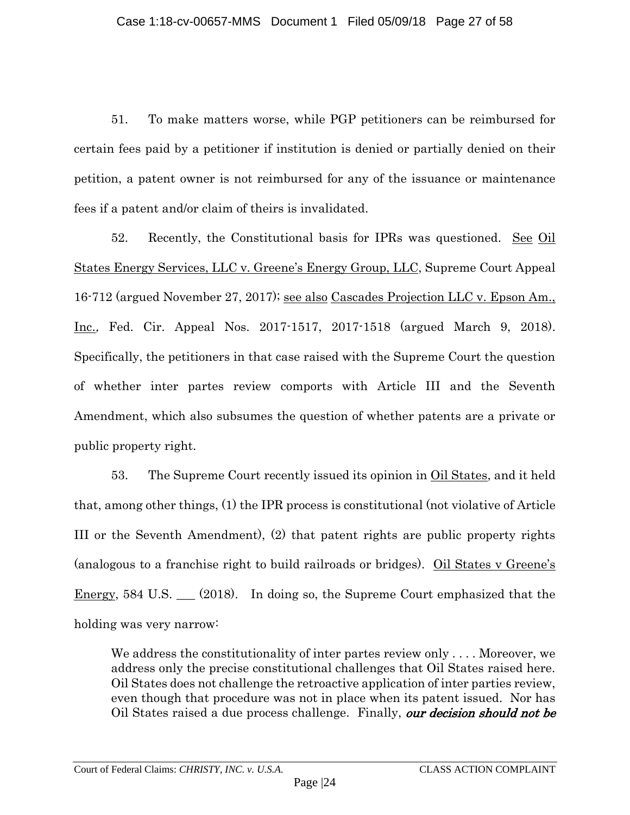51. To make matters worse, while PGP petitioners can be reimbursed for certain fees paid by a petitioner if institution is denied or partially denied on their petition, a patent owner is not reimbursed for any of the issuance or maintenance fees if a patent and/or claim of theirs is invalidated.

52. Recently, the Constitutional basis for IPRs was questioned. See Oil States Energy Services, LLC v. Greene's Energy Group, LLC, Supreme Court Appeal 16-712 (argued November 27, 2017); see also Cascades Projection LLC v. Epson Am., Inc., Fed. Cir. Appeal Nos. 2017-1517, 2017-1518 (argued March 9, 2018). Specifically, the petitioners in that case raised with the Supreme Court the question of whether inter partes review comports with Article III and the Seventh Amendment, which also subsumes the question of whether patents are a private or public property right.

53. The Supreme Court recently issued its opinion in Oil States, and it held that, among other things, (1) the IPR process is constitutional (not violative of Article III or the Seventh Amendment), (2) that patent rights are public property rights (analogous to a franchise right to build railroads or bridges). Oil States v Greene's Energy, 584 U.S.  $\qquad$  (2018). In doing so, the Supreme Court emphasized that the holding was very narrow:

We address the constitutionality of inter partes review only ... . Moreover, we address only the precise constitutional challenges that Oil States raised here. Oil States does not challenge the retroactive application of inter parties review, even though that procedure was not in place when its patent issued. Nor has Oil States raised a due process challenge. Finally, our decision should not be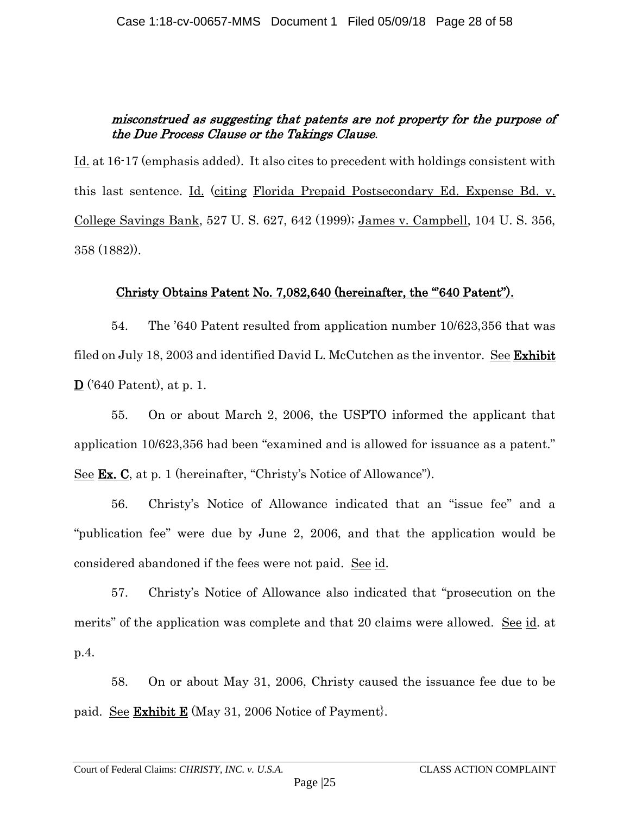## misconstrued as suggesting that patents are not property for the purpose of the Due Process Clause or the Takings Clause.

Id. at 16-17 (emphasis added). It also cites to precedent with holdings consistent with this last sentence. Id. (citing Florida Prepaid Postsecondary Ed. Expense Bd. v. College Savings Bank, 527 U. S. 627, 642 (1999); James v. Campbell, 104 U. S. 356, 358 (1882)).

## Christy Obtains Patent No. 7,082,640 (hereinafter, the "640 Patent").

<span id="page-27-0"></span>54. The '640 Patent resulted from application number 10/623,356 that was filed on July 18, 2003 and identified David L. McCutchen as the inventor. See **Exhibit** D ('640 Patent), at p. 1.

55. On or about March 2, 2006, the USPTO informed the applicant that application 10/623,356 had been "examined and is allowed for issuance as a patent." See **Ex. C**, at p. 1 (hereinafter, "Christy's Notice of Allowance").

56. Christy's Notice of Allowance indicated that an "issue fee" and a "publication fee" were due by June 2, 2006, and that the application would be considered abandoned if the fees were not paid. See id.

57. Christy's Notice of Allowance also indicated that "prosecution on the merits" of the application was complete and that 20 claims were allowed. See id. at p.4.

58. On or about May 31, 2006, Christy caused the issuance fee due to be paid. See **Exhibit E** (May 31, 2006 Notice of Payment).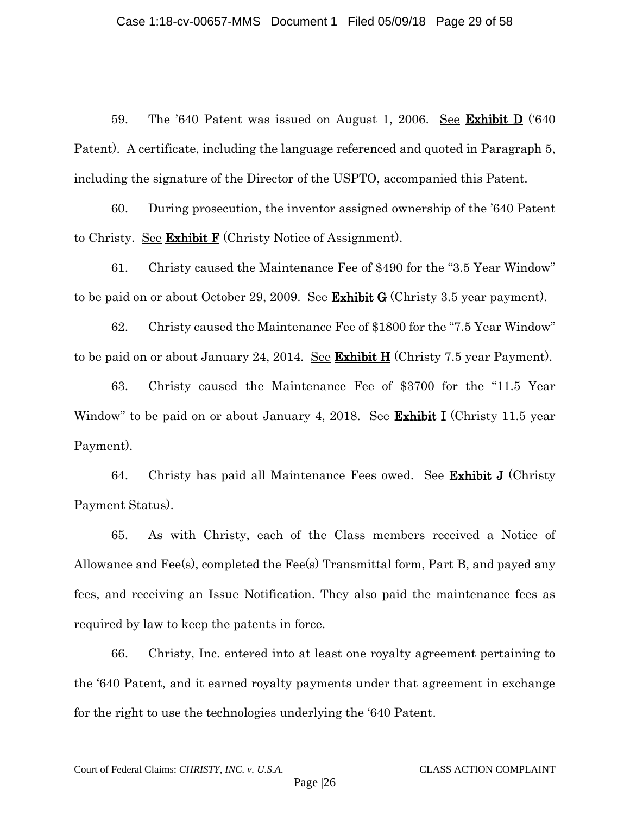59. The '640 Patent was issued on August 1, 2006. See Exhibit  $D$  ('640) Patent). A certificate, including the language referenced and quoted in Paragraph [5,](#page-5-0) including the signature of the Director of the USPTO, accompanied this Patent.

60. During prosecution, the inventor assigned ownership of the '640 Patent to Christy. See Exhibit F (Christy Notice of Assignment).

61. Christy caused the Maintenance Fee of \$490 for the "3.5 Year Window" to be paid on or about October 29, 2009. See Exhibit G (Christy 3.5 year payment).

62. Christy caused the Maintenance Fee of \$1800 for the "7.5 Year Window" to be paid on or about January 24, 2014. See Exhibit H (Christy 7.5 year Payment).

63. Christy caused the Maintenance Fee of \$3700 for the "11.5 Year Window" to be paid on or about January 4, 2018. See **Exhibit I** (Christy 11.5 year Payment).

64. Christy has paid all Maintenance Fees owed. See Exhibit J (Christy Payment Status).

65. As with Christy, each of the Class members received a Notice of Allowance and Fee(s), completed the Fee(s) Transmittal form, Part B, and payed any fees, and receiving an Issue Notification. They also paid the maintenance fees as required by law to keep the patents in force.

66. Christy, Inc. entered into at least one royalty agreement pertaining to the '640 Patent, and it earned royalty payments under that agreement in exchange for the right to use the technologies underlying the '640 Patent.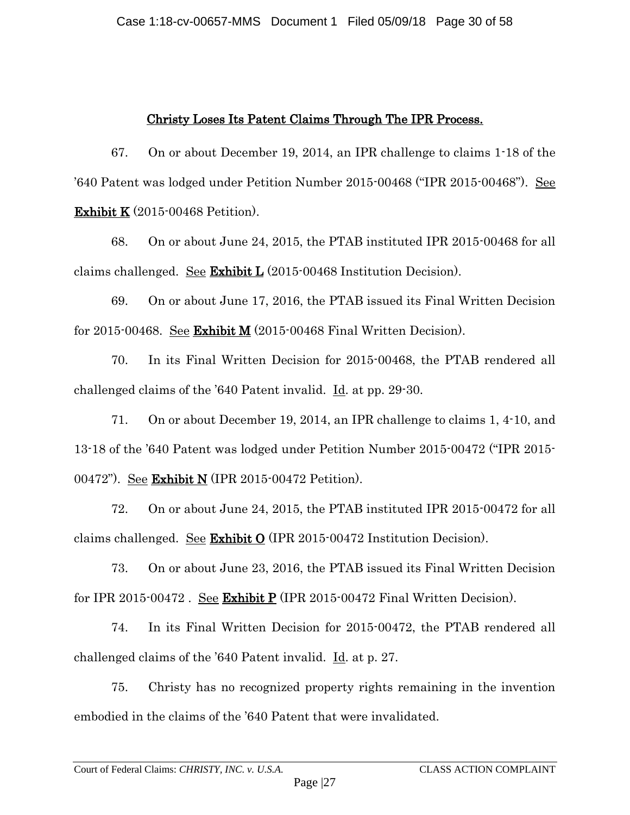## Christy Loses Its Patent Claims Through The IPR Process.

<span id="page-29-0"></span>67. On or about December 19, 2014, an IPR challenge to claims 1-18 of the '640 Patent was lodged under Petition Number 2015-00468 ("IPR 2015-00468"). See Exhibit K (2015-00468 Petition).

68. On or about June 24, 2015, the PTAB instituted IPR 2015-00468 for all claims challenged. See Exhibit L $(2015\text{-}00468 \text{ Institution}$  Decision).

69. On or about June 17, 2016, the PTAB issued its Final Written Decision for 2015-00468. See Exhibit M (2015-00468 Final Written Decision).

70. In its Final Written Decision for 2015-00468, the PTAB rendered all challenged claims of the '640 Patent invalid. Id. at pp. 29-30.

71. On or about December 19, 2014, an IPR challenge to claims 1, 4-10, and 13-18 of the '640 Patent was lodged under Petition Number 2015-00472 ("IPR 2015- 00472"). See Exhibit N (IPR 2015-00472 Petition).

72. On or about June 24, 2015, the PTAB instituted IPR 2015-00472 for all claims challenged. See Exhibit O (IPR 2015-00472 Institution Decision).

73. On or about June 23, 2016, the PTAB issued its Final Written Decision for IPR 2015-00472. See Exhibit P (IPR 2015-00472 Final Written Decision).

74. In its Final Written Decision for 2015-00472, the PTAB rendered all challenged claims of the '640 Patent invalid. Id. at p. 27.

75. Christy has no recognized property rights remaining in the invention embodied in the claims of the '640 Patent that were invalidated.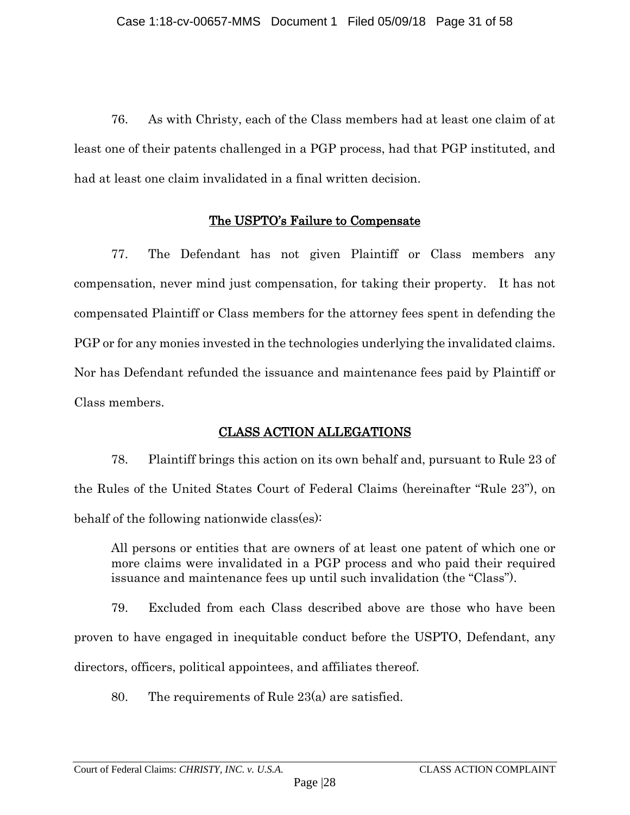76. As with Christy, each of the Class members had at least one claim of at least one of their patents challenged in a PGP process, had that PGP instituted, and had at least one claim invalidated in a final written decision.

### The USPTO's Failure to Compensate

<span id="page-30-0"></span>77. The Defendant has not given Plaintiff or Class members any compensation, never mind just compensation, for taking their property. It has not compensated Plaintiff or Class members for the attorney fees spent in defending the PGP or for any monies invested in the technologies underlying the invalidated claims. Nor has Defendant refunded the issuance and maintenance fees paid by Plaintiff or Class members.

## CLASS ACTION ALLEGATIONS

<span id="page-30-1"></span>78. Plaintiff brings this action on its own behalf and, pursuant to Rule 23 of the Rules of the United States Court of Federal Claims (hereinafter "Rule 23"), on behalf of the following nationwide class(es):

All persons or entities that are owners of at least one patent of which one or more claims were invalidated in a PGP process and who paid their required issuance and maintenance fees up until such invalidation (the "Class").

79. Excluded from each Class described above are those who have been proven to have engaged in inequitable conduct before the USPTO, Defendant, any directors, officers, political appointees, and affiliates thereof.

80. The requirements of Rule 23(a) are satisfied.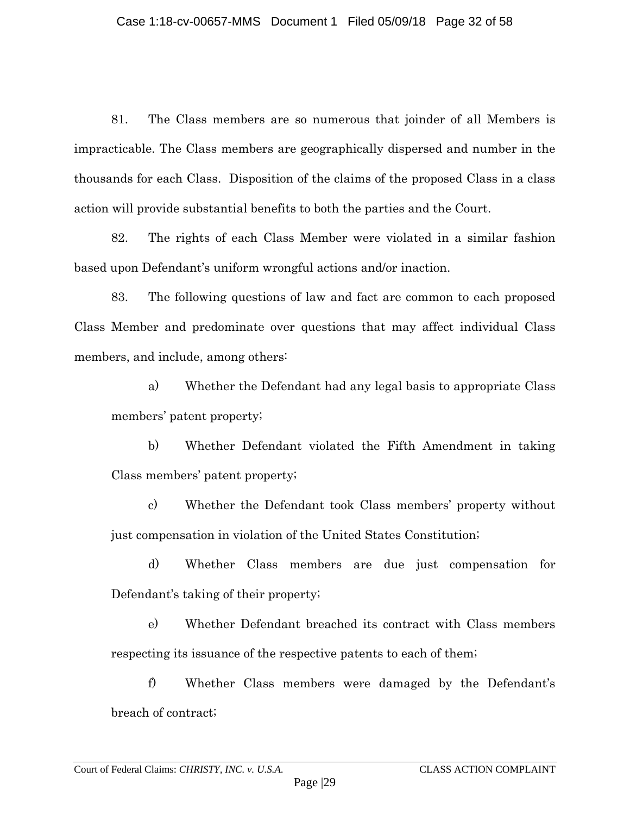81. The Class members are so numerous that joinder of all Members is impracticable. The Class members are geographically dispersed and number in the thousands for each Class. Disposition of the claims of the proposed Class in a class action will provide substantial benefits to both the parties and the Court.

82. The rights of each Class Member were violated in a similar fashion based upon Defendant's uniform wrongful actions and/or inaction.

83. The following questions of law and fact are common to each proposed Class Member and predominate over questions that may affect individual Class members, and include, among others:

a) Whether the Defendant had any legal basis to appropriate Class members' patent property;

b) Whether Defendant violated the Fifth Amendment in taking Class members' patent property;

c) Whether the Defendant took Class members' property without just compensation in violation of the United States Constitution;

d) Whether Class members are due just compensation for Defendant's taking of their property;

e) Whether Defendant breached its contract with Class members respecting its issuance of the respective patents to each of them;

f) Whether Class members were damaged by the Defendant's breach of contract;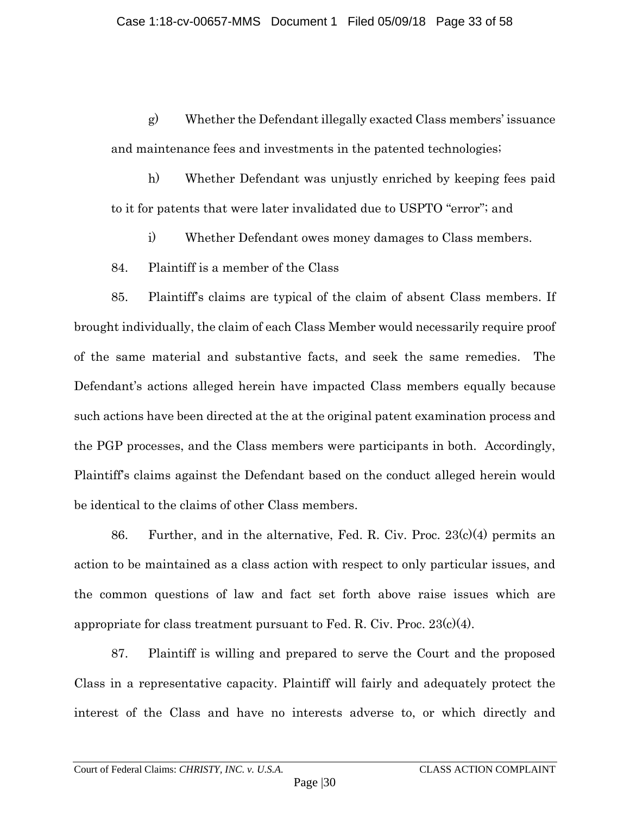g) Whether the Defendant illegally exacted Class members' issuance and maintenance fees and investments in the patented technologies;

h) Whether Defendant was unjustly enriched by keeping fees paid to it for patents that were later invalidated due to USPTO "error"; and

i) Whether Defendant owes money damages to Class members.

84. Plaintiff is a member of the Class

85. Plaintiff's claims are typical of the claim of absent Class members. If brought individually, the claim of each Class Member would necessarily require proof of the same material and substantive facts, and seek the same remedies. The Defendant's actions alleged herein have impacted Class members equally because such actions have been directed at the at the original patent examination process and the PGP processes, and the Class members were participants in both. Accordingly, Plaintiff's claims against the Defendant based on the conduct alleged herein would be identical to the claims of other Class members.

86. Further, and in the alternative, Fed. R. Civ. Proc.  $23(c)(4)$  permits an action to be maintained as a class action with respect to only particular issues, and the common questions of law and fact set forth above raise issues which are appropriate for class treatment pursuant to Fed. R. Civ. Proc.  $23(c)(4)$ .

87. Plaintiff is willing and prepared to serve the Court and the proposed Class in a representative capacity. Plaintiff will fairly and adequately protect the interest of the Class and have no interests adverse to, or which directly and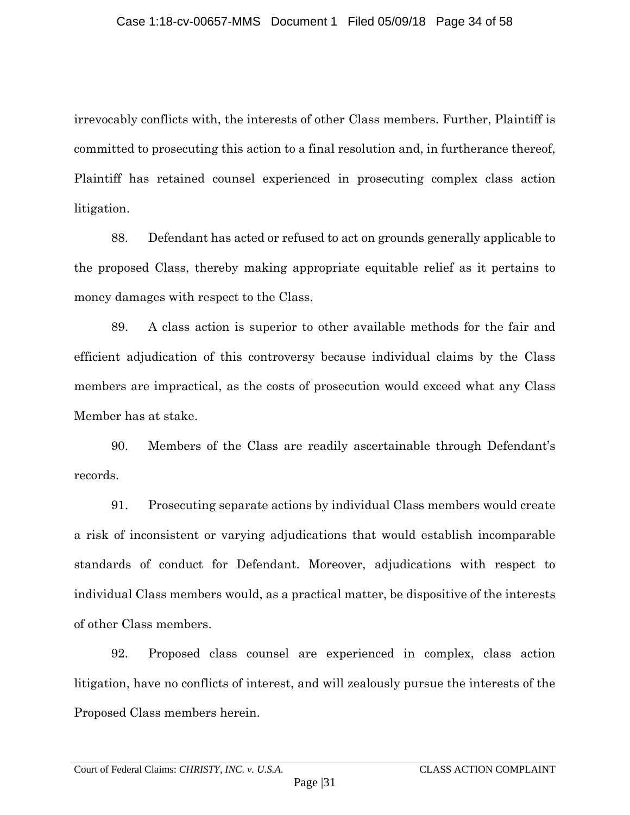irrevocably conflicts with, the interests of other Class members. Further, Plaintiff is committed to prosecuting this action to a final resolution and, in furtherance thereof, Plaintiff has retained counsel experienced in prosecuting complex class action litigation.

88. Defendant has acted or refused to act on grounds generally applicable to the proposed Class, thereby making appropriate equitable relief as it pertains to money damages with respect to the Class.

89. A class action is superior to other available methods for the fair and efficient adjudication of this controversy because individual claims by the Class members are impractical, as the costs of prosecution would exceed what any Class Member has at stake.

90. Members of the Class are readily ascertainable through Defendant's records.

91. Prosecuting separate actions by individual Class members would create a risk of inconsistent or varying adjudications that would establish incomparable standards of conduct for Defendant. Moreover, adjudications with respect to individual Class members would, as a practical matter, be dispositive of the interests of other Class members.

92. Proposed class counsel are experienced in complex, class action litigation, have no conflicts of interest, and will zealously pursue the interests of the Proposed Class members herein.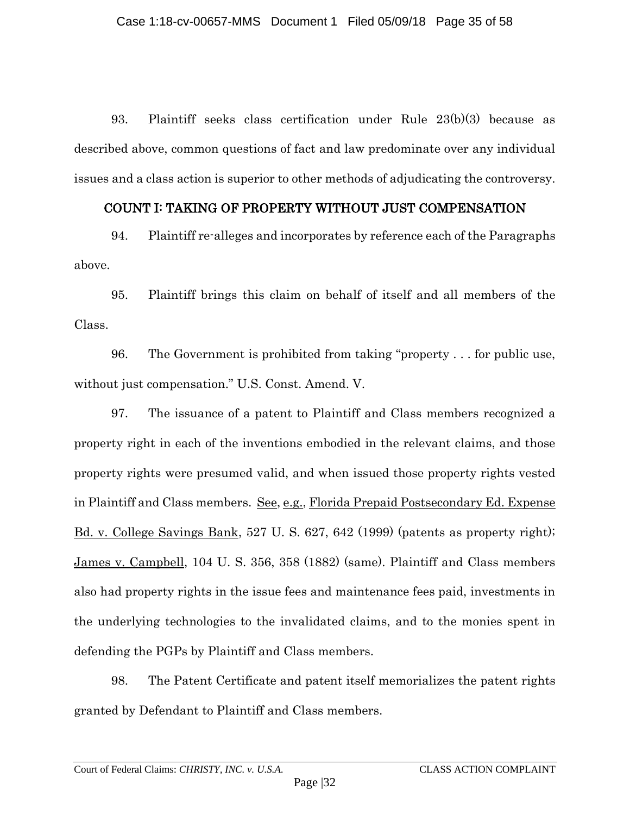93. Plaintiff seeks class certification under Rule 23(b)(3) because as described above, common questions of fact and law predominate over any individual issues and a class action is superior to other methods of adjudicating the controversy.

### COUNT I: TAKING OF PROPERTY WITHOUT JUST COMPENSATION

<span id="page-34-0"></span>94. Plaintiff re-alleges and incorporates by reference each of the Paragraphs above.

95. Plaintiff brings this claim on behalf of itself and all members of the Class.

96. The Government is prohibited from taking "property . . . for public use, without just compensation." U.S. Const. Amend. V.

97. The issuance of a patent to Plaintiff and Class members recognized a property right in each of the inventions embodied in the relevant claims, and those property rights were presumed valid, and when issued those property rights vested in Plaintiff and Class members. See, e.g., Florida Prepaid Postsecondary Ed. Expense Bd. v. College Savings Bank, 527 U. S. 627, 642 (1999) (patents as property right); James v. Campbell, 104 U. S. 356, 358 (1882) (same). Plaintiff and Class members also had property rights in the issue fees and maintenance fees paid, investments in the underlying technologies to the invalidated claims, and to the monies spent in defending the PGPs by Plaintiff and Class members.

98. The Patent Certificate and patent itself memorializes the patent rights granted by Defendant to Plaintiff and Class members.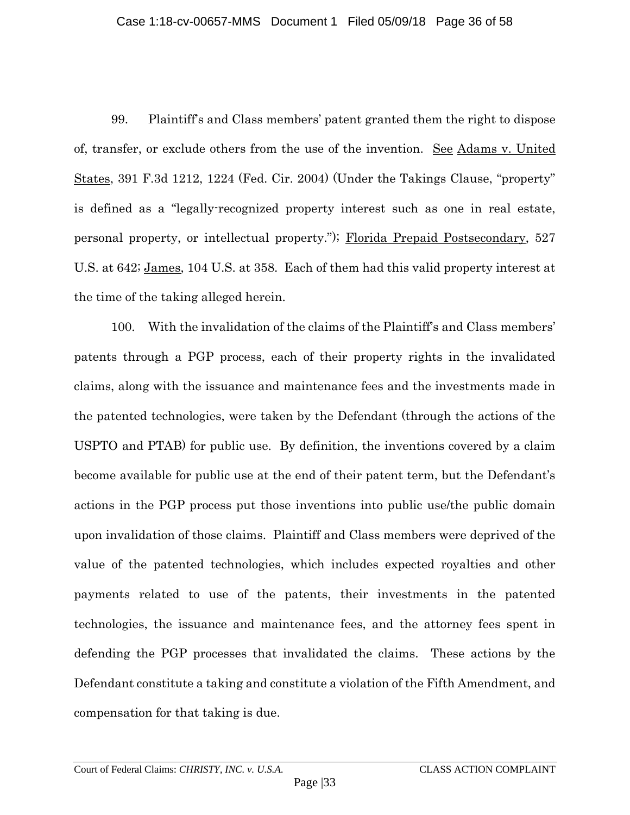99. Plaintiff's and Class members' patent granted them the right to dispose of, transfer, or exclude others from the use of the invention. See Adams v. United States, 391 F.3d 1212, 1224 (Fed. Cir. 2004) (Under the Takings Clause, "property" is defined as a "legally-recognized property interest such as one in real estate, personal property, or intellectual property."); Florida Prepaid Postsecondary, 527 U.S. at 642; James, 104 U.S. at 358. Each of them had this valid property interest at the time of the taking alleged herein.

100. With the invalidation of the claims of the Plaintiff's and Class members' patents through a PGP process, each of their property rights in the invalidated claims, along with the issuance and maintenance fees and the investments made in the patented technologies, were taken by the Defendant (through the actions of the USPTO and PTAB) for public use. By definition, the inventions covered by a claim become available for public use at the end of their patent term, but the Defendant's actions in the PGP process put those inventions into public use/the public domain upon invalidation of those claims. Plaintiff and Class members were deprived of the value of the patented technologies, which includes expected royalties and other payments related to use of the patents, their investments in the patented technologies, the issuance and maintenance fees, and the attorney fees spent in defending the PGP processes that invalidated the claims. These actions by the Defendant constitute a taking and constitute a violation of the Fifth Amendment, and compensation for that taking is due.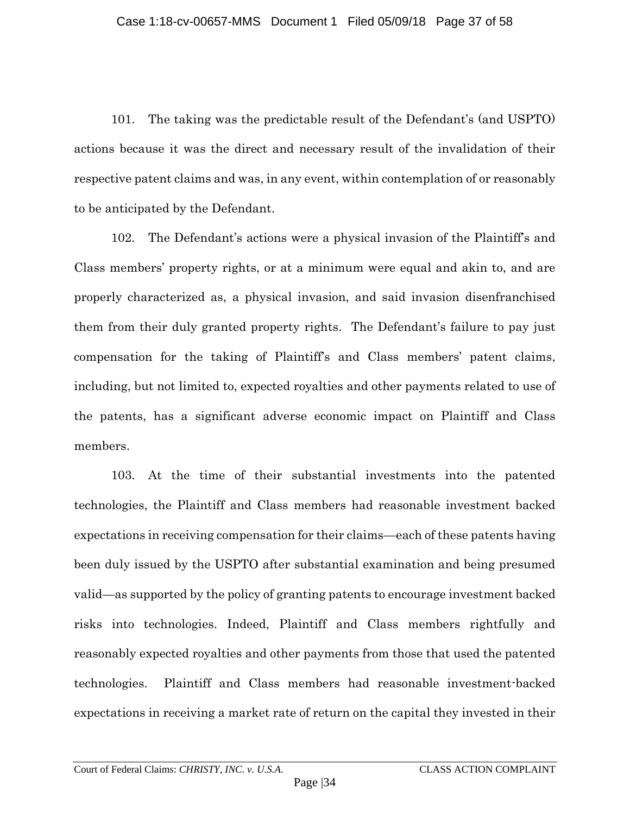101. The taking was the predictable result of the Defendant's (and USPTO) actions because it was the direct and necessary result of the invalidation of their respective patent claims and was, in any event, within contemplation of or reasonably to be anticipated by the Defendant.

102. The Defendant's actions were a physical invasion of the Plaintiff's and Class members' property rights, or at a minimum were equal and akin to, and are properly characterized as, a physical invasion, and said invasion disenfranchised them from their duly granted property rights. The Defendant's failure to pay just compensation for the taking of Plaintiff's and Class members' patent claims, including, but not limited to, expected royalties and other payments related to use of the patents, has a significant adverse economic impact on Plaintiff and Class members.

103. At the time of their substantial investments into the patented technologies, the Plaintiff and Class members had reasonable investment backed expectations in receiving compensation for their claims—each of these patents having been duly issued by the USPTO after substantial examination and being presumed valid—as supported by the policy of granting patents to encourage investment backed risks into technologies. Indeed, Plaintiff and Class members rightfully and reasonably expected royalties and other payments from those that used the patented technologies. Plaintiff and Class members had reasonable investment-backed expectations in receiving a market rate of return on the capital they invested in their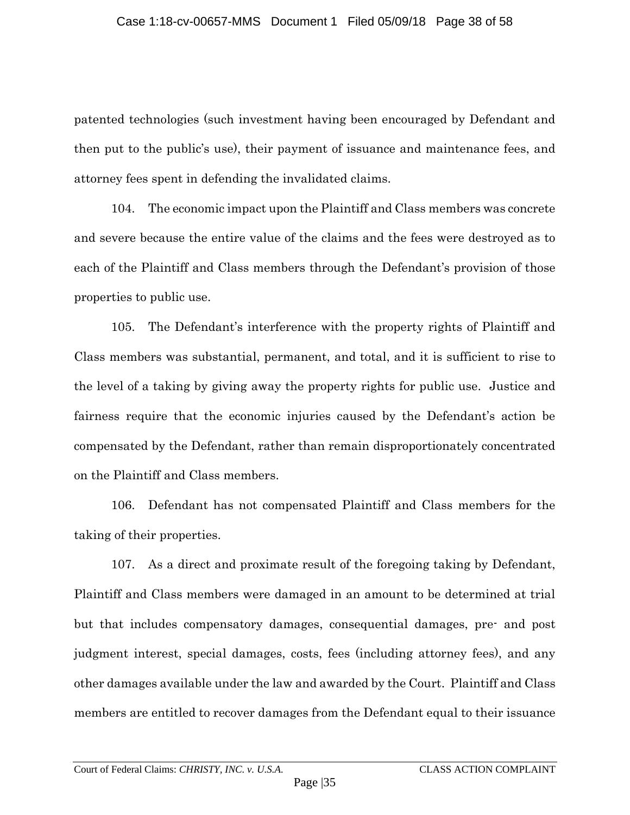patented technologies (such investment having been encouraged by Defendant and then put to the public's use), their payment of issuance and maintenance fees, and attorney fees spent in defending the invalidated claims.

104. The economic impact upon the Plaintiff and Class members was concrete and severe because the entire value of the claims and the fees were destroyed as to each of the Plaintiff and Class members through the Defendant's provision of those properties to public use.

105. The Defendant's interference with the property rights of Plaintiff and Class members was substantial, permanent, and total, and it is sufficient to rise to the level of a taking by giving away the property rights for public use. Justice and fairness require that the economic injuries caused by the Defendant's action be compensated by the Defendant, rather than remain disproportionately concentrated on the Plaintiff and Class members.

106. Defendant has not compensated Plaintiff and Class members for the taking of their properties.

107. As a direct and proximate result of the foregoing taking by Defendant, Plaintiff and Class members were damaged in an amount to be determined at trial but that includes compensatory damages, consequential damages, pre- and post judgment interest, special damages, costs, fees (including attorney fees), and any other damages available under the law and awarded by the Court. Plaintiff and Class members are entitled to recover damages from the Defendant equal to their issuance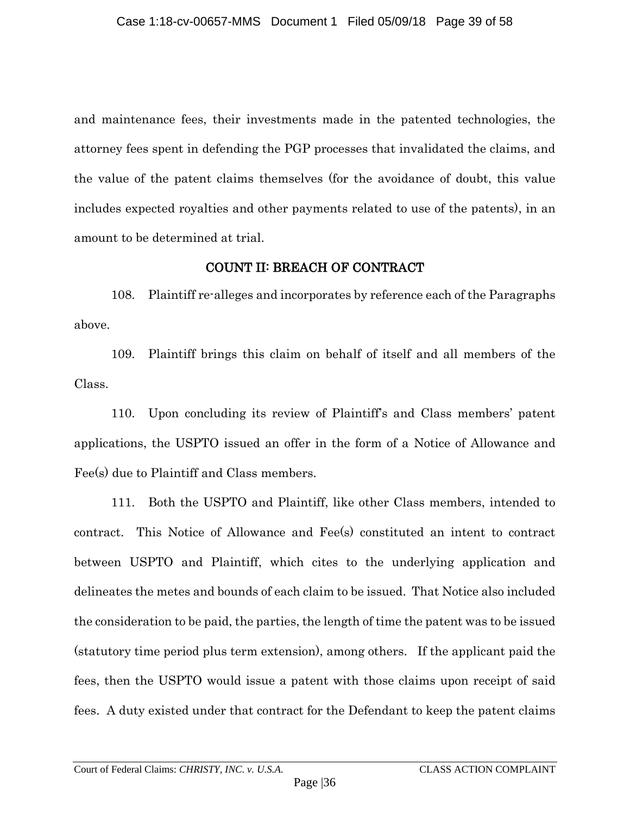and maintenance fees, their investments made in the patented technologies, the attorney fees spent in defending the PGP processes that invalidated the claims, and the value of the patent claims themselves (for the avoidance of doubt, this value includes expected royalties and other payments related to use of the patents), in an amount to be determined at trial.

## COUNT II: BREACH OF CONTRACT

<span id="page-38-0"></span>108. Plaintiff re-alleges and incorporates by reference each of the Paragraphs above.

109. Plaintiff brings this claim on behalf of itself and all members of the Class.

110. Upon concluding its review of Plaintiff's and Class members' patent applications, the USPTO issued an offer in the form of a Notice of Allowance and Fee(s) due to Plaintiff and Class members.

111. Both the USPTO and Plaintiff, like other Class members, intended to contract. This Notice of Allowance and Fee(s) constituted an intent to contract between USPTO and Plaintiff, which cites to the underlying application and delineates the metes and bounds of each claim to be issued. That Notice also included the consideration to be paid, the parties, the length of time the patent was to be issued (statutory time period plus term extension), among others. If the applicant paid the fees, then the USPTO would issue a patent with those claims upon receipt of said fees. A duty existed under that contract for the Defendant to keep the patent claims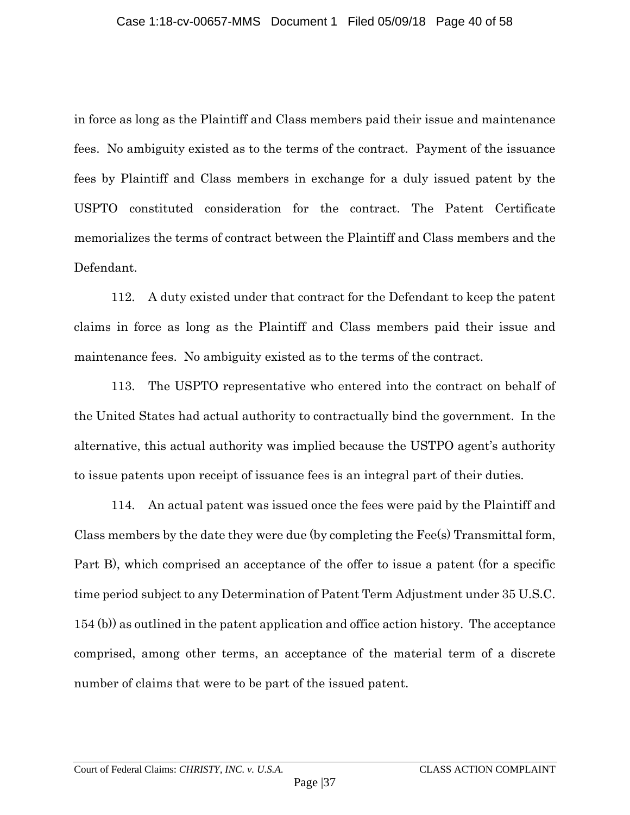in force as long as the Plaintiff and Class members paid their issue and maintenance fees. No ambiguity existed as to the terms of the contract. Payment of the issuance fees by Plaintiff and Class members in exchange for a duly issued patent by the USPTO constituted consideration for the contract. The Patent Certificate memorializes the terms of contract between the Plaintiff and Class members and the Defendant.

112. A duty existed under that contract for the Defendant to keep the patent claims in force as long as the Plaintiff and Class members paid their issue and maintenance fees. No ambiguity existed as to the terms of the contract.

113. The USPTO representative who entered into the contract on behalf of the United States had actual authority to contractually bind the government. In the alternative, this actual authority was implied because the USTPO agent's authority to issue patents upon receipt of issuance fees is an integral part of their duties.

114. An actual patent was issued once the fees were paid by the Plaintiff and Class members by the date they were due (by completing the Fee(s) Transmittal form, Part B), which comprised an acceptance of the offer to issue a patent (for a specific time period subject to any Determination of Patent Term Adjustment under 35 U.S.C. 154 (b)) as outlined in the patent application and office action history. The acceptance comprised, among other terms, an acceptance of the material term of a discrete number of claims that were to be part of the issued patent.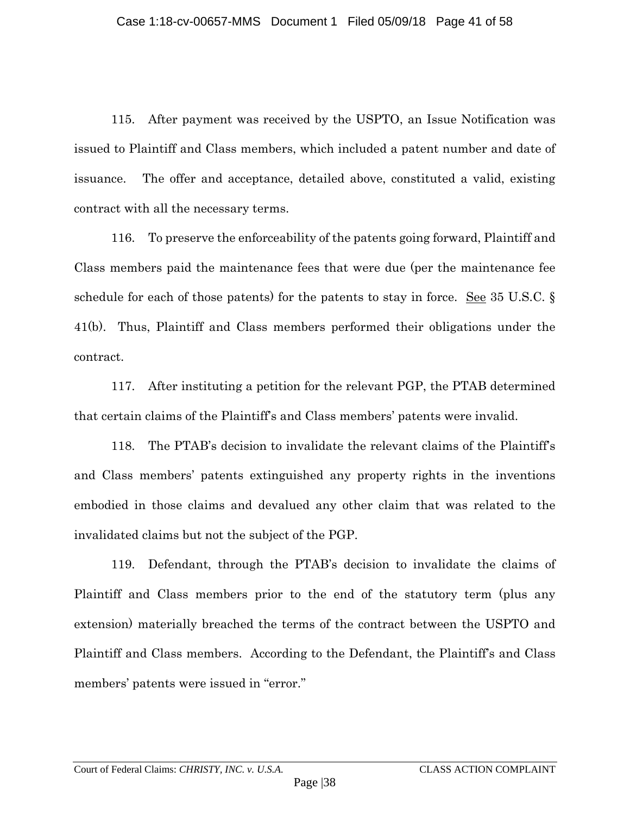115. After payment was received by the USPTO, an Issue Notification was issued to Plaintiff and Class members, which included a patent number and date of issuance. The offer and acceptance, detailed above, constituted a valid, existing contract with all the necessary terms.

116. To preserve the enforceability of the patents going forward, Plaintiff and Class members paid the maintenance fees that were due (per the maintenance fee schedule for each of those patents) for the patents to stay in force. See 35 U.S.C. § 41(b). Thus, Plaintiff and Class members performed their obligations under the contract.

117. After instituting a petition for the relevant PGP, the PTAB determined that certain claims of the Plaintiff's and Class members' patents were invalid.

118. The PTAB's decision to invalidate the relevant claims of the Plaintiff's and Class members' patents extinguished any property rights in the inventions embodied in those claims and devalued any other claim that was related to the invalidated claims but not the subject of the PGP.

119. Defendant, through the PTAB's decision to invalidate the claims of Plaintiff and Class members prior to the end of the statutory term (plus any extension) materially breached the terms of the contract between the USPTO and Plaintiff and Class members. According to the Defendant, the Plaintiff's and Class members' patents were issued in "error."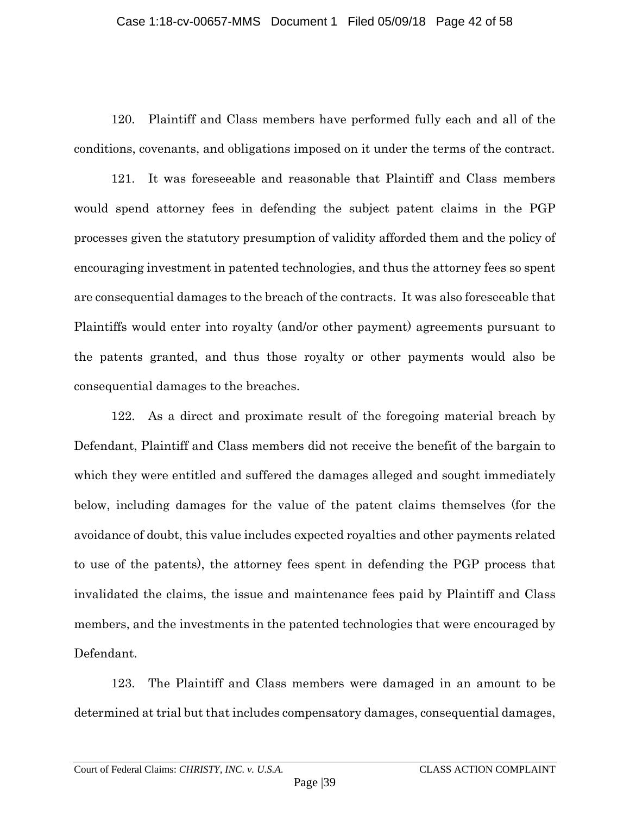120. Plaintiff and Class members have performed fully each and all of the conditions, covenants, and obligations imposed on it under the terms of the contract.

121. It was foreseeable and reasonable that Plaintiff and Class members would spend attorney fees in defending the subject patent claims in the PGP processes given the statutory presumption of validity afforded them and the policy of encouraging investment in patented technologies, and thus the attorney fees so spent are consequential damages to the breach of the contracts. It was also foreseeable that Plaintiffs would enter into royalty (and/or other payment) agreements pursuant to the patents granted, and thus those royalty or other payments would also be consequential damages to the breaches.

122. As a direct and proximate result of the foregoing material breach by Defendant, Plaintiff and Class members did not receive the benefit of the bargain to which they were entitled and suffered the damages alleged and sought immediately below, including damages for the value of the patent claims themselves (for the avoidance of doubt, this value includes expected royalties and other payments related to use of the patents), the attorney fees spent in defending the PGP process that invalidated the claims, the issue and maintenance fees paid by Plaintiff and Class members, and the investments in the patented technologies that were encouraged by Defendant.

123. The Plaintiff and Class members were damaged in an amount to be determined at trial but that includes compensatory damages, consequential damages,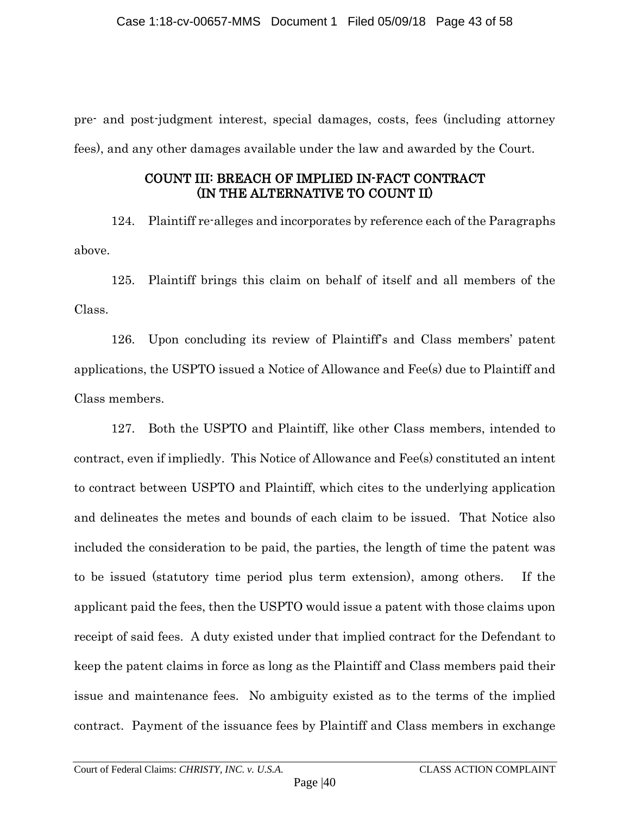pre- and post-judgment interest, special damages, costs, fees (including attorney fees), and any other damages available under the law and awarded by the Court.

### COUNT III: BREACH OF IMPLIED IN-FACT CONTRACT (IN THE ALTERNATIVE TO COUNT II)

<span id="page-42-0"></span>124. Plaintiff re-alleges and incorporates by reference each of the Paragraphs above.

125. Plaintiff brings this claim on behalf of itself and all members of the Class.

126. Upon concluding its review of Plaintiff's and Class members' patent applications, the USPTO issued a Notice of Allowance and Fee(s) due to Plaintiff and Class members.

127. Both the USPTO and Plaintiff, like other Class members, intended to contract, even if impliedly. This Notice of Allowance and Fee(s) constituted an intent to contract between USPTO and Plaintiff, which cites to the underlying application and delineates the metes and bounds of each claim to be issued. That Notice also included the consideration to be paid, the parties, the length of time the patent was to be issued (statutory time period plus term extension), among others. If the applicant paid the fees, then the USPTO would issue a patent with those claims upon receipt of said fees. A duty existed under that implied contract for the Defendant to keep the patent claims in force as long as the Plaintiff and Class members paid their issue and maintenance fees. No ambiguity existed as to the terms of the implied contract. Payment of the issuance fees by Plaintiff and Class members in exchange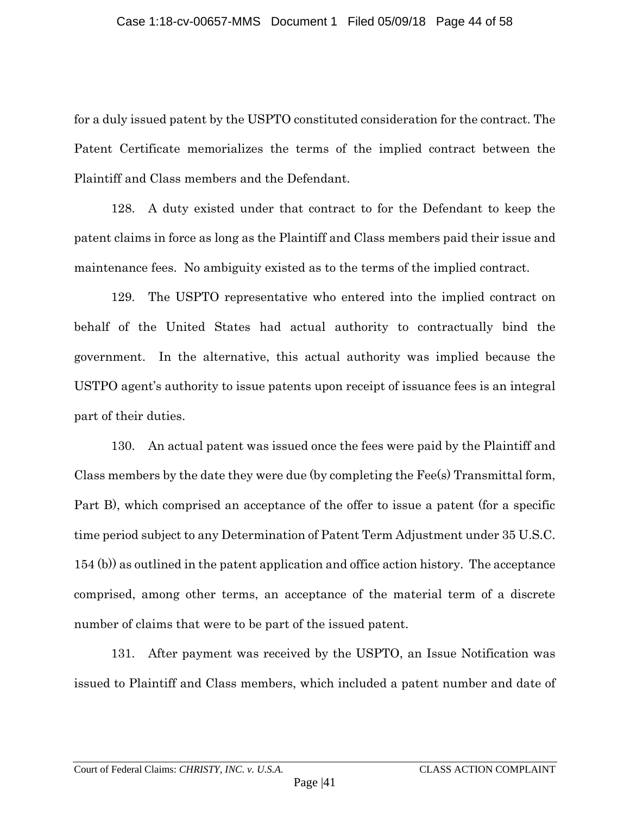for a duly issued patent by the USPTO constituted consideration for the contract. The Patent Certificate memorializes the terms of the implied contract between the Plaintiff and Class members and the Defendant.

128. A duty existed under that contract to for the Defendant to keep the patent claims in force as long as the Plaintiff and Class members paid their issue and maintenance fees. No ambiguity existed as to the terms of the implied contract.

129. The USPTO representative who entered into the implied contract on behalf of the United States had actual authority to contractually bind the government. In the alternative, this actual authority was implied because the USTPO agent's authority to issue patents upon receipt of issuance fees is an integral part of their duties.

130. An actual patent was issued once the fees were paid by the Plaintiff and Class members by the date they were due (by completing the Fee(s) Transmittal form, Part B), which comprised an acceptance of the offer to issue a patent (for a specific time period subject to any Determination of Patent Term Adjustment under 35 U.S.C. 154 (b)) as outlined in the patent application and office action history. The acceptance comprised, among other terms, an acceptance of the material term of a discrete number of claims that were to be part of the issued patent.

131. After payment was received by the USPTO, an Issue Notification was issued to Plaintiff and Class members, which included a patent number and date of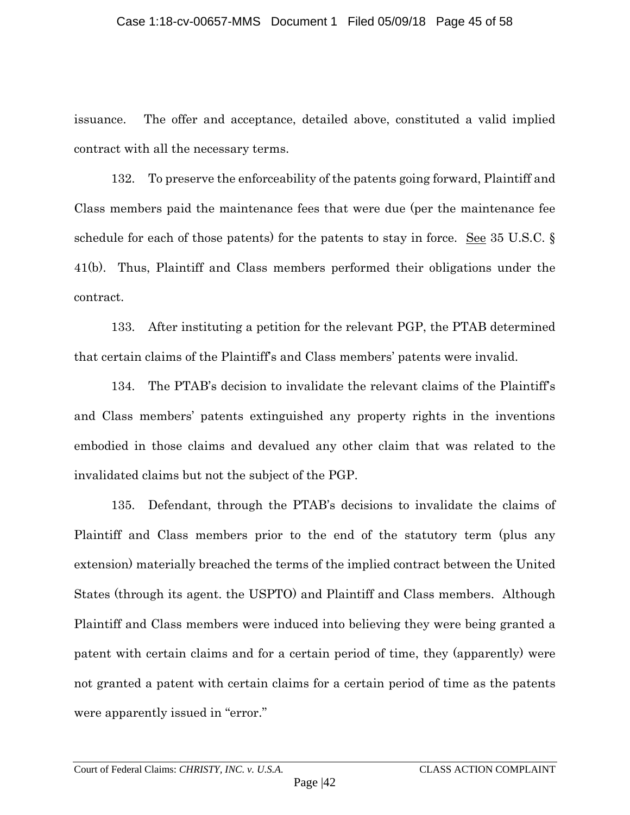issuance. The offer and acceptance, detailed above, constituted a valid implied contract with all the necessary terms.

132. To preserve the enforceability of the patents going forward, Plaintiff and Class members paid the maintenance fees that were due (per the maintenance fee schedule for each of those patents) for the patents to stay in force. See 35 U.S.C. § 41(b). Thus, Plaintiff and Class members performed their obligations under the contract.

133. After instituting a petition for the relevant PGP, the PTAB determined that certain claims of the Plaintiff's and Class members' patents were invalid.

134. The PTAB's decision to invalidate the relevant claims of the Plaintiff's and Class members' patents extinguished any property rights in the inventions embodied in those claims and devalued any other claim that was related to the invalidated claims but not the subject of the PGP.

135. Defendant, through the PTAB's decisions to invalidate the claims of Plaintiff and Class members prior to the end of the statutory term (plus any extension) materially breached the terms of the implied contract between the United States (through its agent. the USPTO) and Plaintiff and Class members. Although Plaintiff and Class members were induced into believing they were being granted a patent with certain claims and for a certain period of time, they (apparently) were not granted a patent with certain claims for a certain period of time as the patents were apparently issued in "error."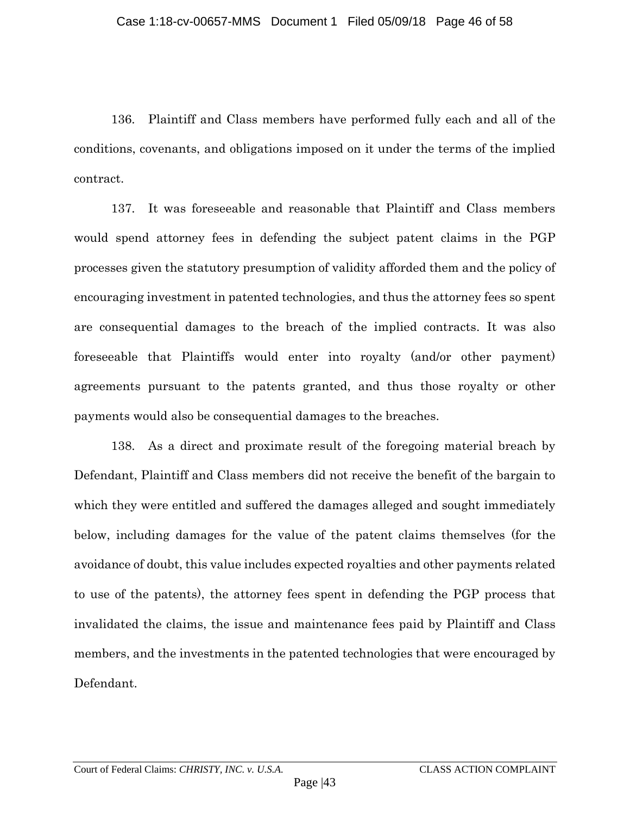136. Plaintiff and Class members have performed fully each and all of the conditions, covenants, and obligations imposed on it under the terms of the implied contract.

137. It was foreseeable and reasonable that Plaintiff and Class members would spend attorney fees in defending the subject patent claims in the PGP processes given the statutory presumption of validity afforded them and the policy of encouraging investment in patented technologies, and thus the attorney fees so spent are consequential damages to the breach of the implied contracts. It was also foreseeable that Plaintiffs would enter into royalty (and/or other payment) agreements pursuant to the patents granted, and thus those royalty or other payments would also be consequential damages to the breaches.

138. As a direct and proximate result of the foregoing material breach by Defendant, Plaintiff and Class members did not receive the benefit of the bargain to which they were entitled and suffered the damages alleged and sought immediately below, including damages for the value of the patent claims themselves (for the avoidance of doubt, this value includes expected royalties and other payments related to use of the patents), the attorney fees spent in defending the PGP process that invalidated the claims, the issue and maintenance fees paid by Plaintiff and Class members, and the investments in the patented technologies that were encouraged by Defendant.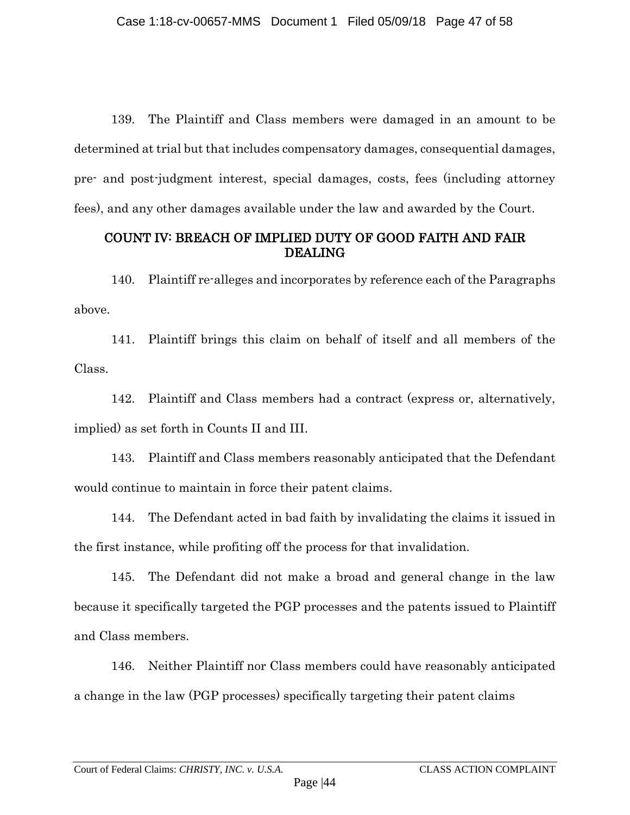139. The Plaintiff and Class members were damaged in an amount to be determined at trial but that includes compensatory damages, consequential damages, pre- and post-judgment interest, special damages, costs, fees (including attorney fees), and any other damages available under the law and awarded by the Court.

### <span id="page-46-0"></span>COUNT IV: BREACH OF IMPLIED DUTY OF GOOD FAITH AND FAIR DEALING

140. Plaintiff re-alleges and incorporates by reference each of the Paragraphs above.

141. Plaintiff brings this claim on behalf of itself and all members of the Class.

142. Plaintiff and Class members had a contract (express or, alternatively, implied) as set forth in Counts II and III.

143. Plaintiff and Class members reasonably anticipated that the Defendant would continue to maintain in force their patent claims.

144. The Defendant acted in bad faith by invalidating the claims it issued in the first instance, while profiting off the process for that invalidation.

145. The Defendant did not make a broad and general change in the law because it specifically targeted the PGP processes and the patents issued to Plaintiff and Class members.

146. Neither Plaintiff nor Class members could have reasonably anticipated a change in the law (PGP processes) specifically targeting their patent claims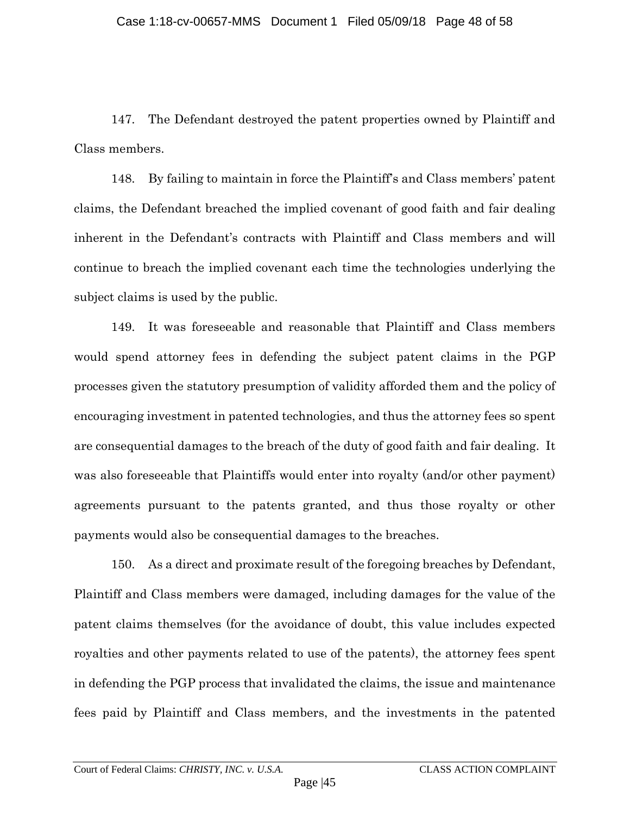147. The Defendant destroyed the patent properties owned by Plaintiff and Class members.

148. By failing to maintain in force the Plaintiff's and Class members' patent claims, the Defendant breached the implied covenant of good faith and fair dealing inherent in the Defendant's contracts with Plaintiff and Class members and will continue to breach the implied covenant each time the technologies underlying the subject claims is used by the public.

149. It was foreseeable and reasonable that Plaintiff and Class members would spend attorney fees in defending the subject patent claims in the PGP processes given the statutory presumption of validity afforded them and the policy of encouraging investment in patented technologies, and thus the attorney fees so spent are consequential damages to the breach of the duty of good faith and fair dealing. It was also foreseeable that Plaintiffs would enter into royalty (and/or other payment) agreements pursuant to the patents granted, and thus those royalty or other payments would also be consequential damages to the breaches.

150. As a direct and proximate result of the foregoing breaches by Defendant, Plaintiff and Class members were damaged, including damages for the value of the patent claims themselves (for the avoidance of doubt, this value includes expected royalties and other payments related to use of the patents), the attorney fees spent in defending the PGP process that invalidated the claims, the issue and maintenance fees paid by Plaintiff and Class members, and the investments in the patented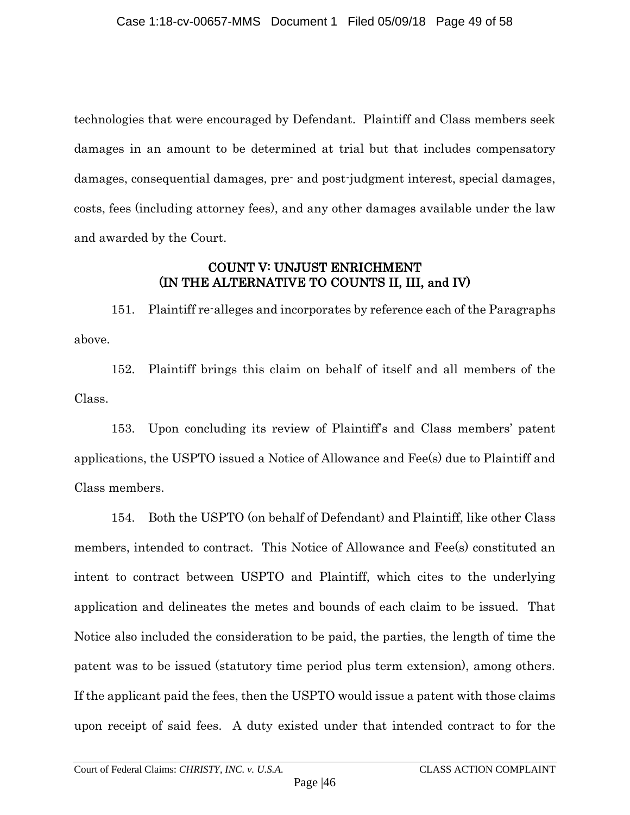technologies that were encouraged by Defendant. Plaintiff and Class members seek damages in an amount to be determined at trial but that includes compensatory damages, consequential damages, pre- and post-judgment interest, special damages, costs, fees (including attorney fees), and any other damages available under the law and awarded by the Court.

### COUNT V: UNJUST ENRICHMENT (IN THE ALTERNATIVE TO COUNTS II, III, and IV)

<span id="page-48-0"></span>151. Plaintiff re-alleges and incorporates by reference each of the Paragraphs above.

152. Plaintiff brings this claim on behalf of itself and all members of the Class.

153. Upon concluding its review of Plaintiff's and Class members' patent applications, the USPTO issued a Notice of Allowance and Fee(s) due to Plaintiff and Class members.

154. Both the USPTO (on behalf of Defendant) and Plaintiff, like other Class members, intended to contract. This Notice of Allowance and Fee(s) constituted an intent to contract between USPTO and Plaintiff, which cites to the underlying application and delineates the metes and bounds of each claim to be issued. That Notice also included the consideration to be paid, the parties, the length of time the patent was to be issued (statutory time period plus term extension), among others. If the applicant paid the fees, then the USPTO would issue a patent with those claims upon receipt of said fees. A duty existed under that intended contract to for the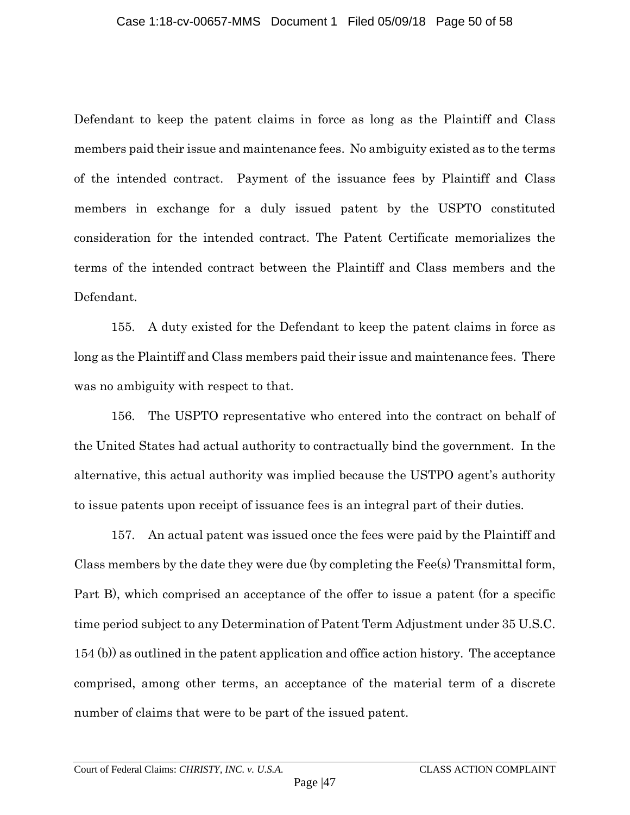Defendant to keep the patent claims in force as long as the Plaintiff and Class members paid their issue and maintenance fees. No ambiguity existed as to the terms of the intended contract. Payment of the issuance fees by Plaintiff and Class members in exchange for a duly issued patent by the USPTO constituted consideration for the intended contract. The Patent Certificate memorializes the terms of the intended contract between the Plaintiff and Class members and the Defendant.

155. A duty existed for the Defendant to keep the patent claims in force as long as the Plaintiff and Class members paid their issue and maintenance fees. There was no ambiguity with respect to that.

156. The USPTO representative who entered into the contract on behalf of the United States had actual authority to contractually bind the government. In the alternative, this actual authority was implied because the USTPO agent's authority to issue patents upon receipt of issuance fees is an integral part of their duties.

157. An actual patent was issued once the fees were paid by the Plaintiff and Class members by the date they were due (by completing the Fee(s) Transmittal form, Part B), which comprised an acceptance of the offer to issue a patent (for a specific time period subject to any Determination of Patent Term Adjustment under 35 U.S.C. 154 (b)) as outlined in the patent application and office action history. The acceptance comprised, among other terms, an acceptance of the material term of a discrete number of claims that were to be part of the issued patent.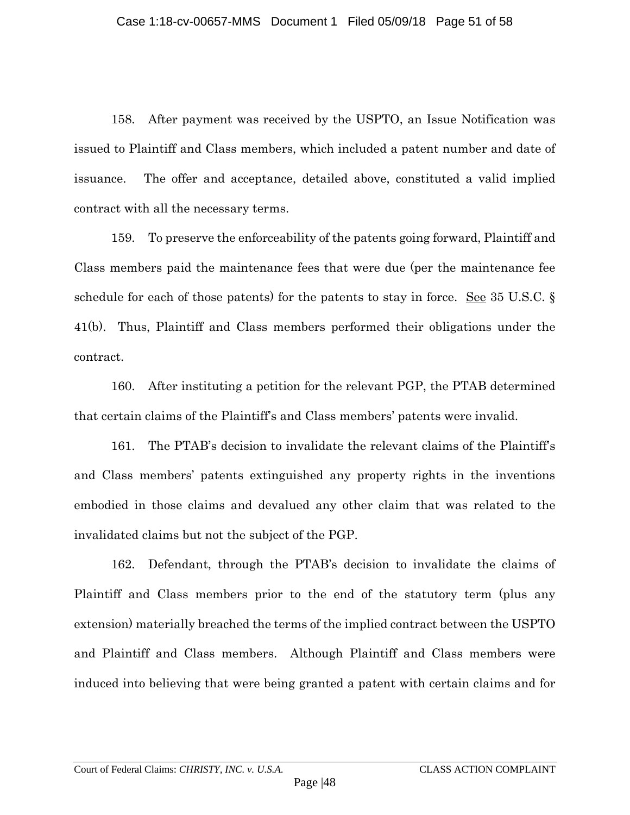158. After payment was received by the USPTO, an Issue Notification was issued to Plaintiff and Class members, which included a patent number and date of issuance. The offer and acceptance, detailed above, constituted a valid implied contract with all the necessary terms.

159. To preserve the enforceability of the patents going forward, Plaintiff and Class members paid the maintenance fees that were due (per the maintenance fee schedule for each of those patents) for the patents to stay in force. See 35 U.S.C. § 41(b). Thus, Plaintiff and Class members performed their obligations under the contract.

160. After instituting a petition for the relevant PGP, the PTAB determined that certain claims of the Plaintiff's and Class members' patents were invalid.

161. The PTAB's decision to invalidate the relevant claims of the Plaintiff's and Class members' patents extinguished any property rights in the inventions embodied in those claims and devalued any other claim that was related to the invalidated claims but not the subject of the PGP.

162. Defendant, through the PTAB's decision to invalidate the claims of Plaintiff and Class members prior to the end of the statutory term (plus any extension) materially breached the terms of the implied contract between the USPTO and Plaintiff and Class members. Although Plaintiff and Class members were induced into believing that were being granted a patent with certain claims and for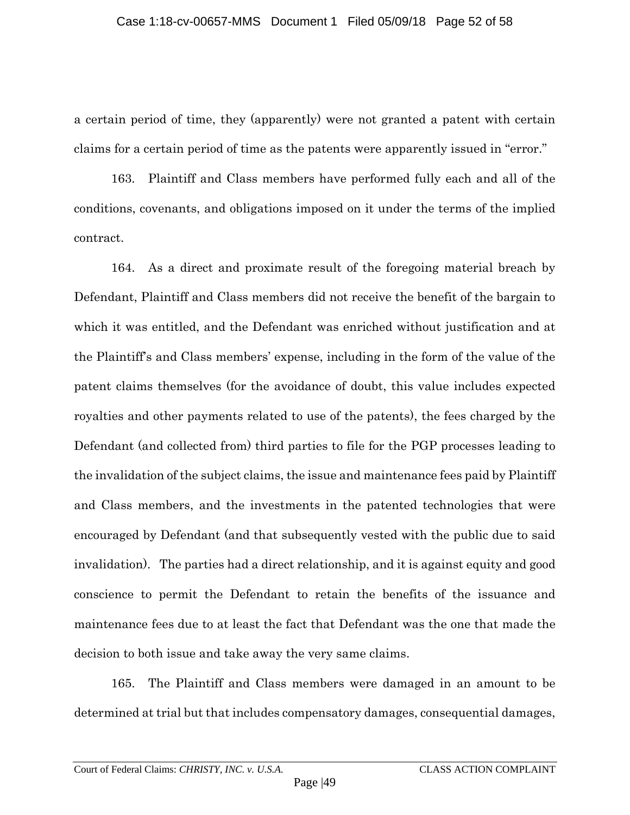a certain period of time, they (apparently) were not granted a patent with certain claims for a certain period of time as the patents were apparently issued in "error."

163. Plaintiff and Class members have performed fully each and all of the conditions, covenants, and obligations imposed on it under the terms of the implied contract.

164. As a direct and proximate result of the foregoing material breach by Defendant, Plaintiff and Class members did not receive the benefit of the bargain to which it was entitled, and the Defendant was enriched without justification and at the Plaintiff's and Class members' expense, including in the form of the value of the patent claims themselves (for the avoidance of doubt, this value includes expected royalties and other payments related to use of the patents), the fees charged by the Defendant (and collected from) third parties to file for the PGP processes leading to the invalidation of the subject claims, the issue and maintenance fees paid by Plaintiff and Class members, and the investments in the patented technologies that were encouraged by Defendant (and that subsequently vested with the public due to said invalidation). The parties had a direct relationship, and it is against equity and good conscience to permit the Defendant to retain the benefits of the issuance and maintenance fees due to at least the fact that Defendant was the one that made the decision to both issue and take away the very same claims.

165. The Plaintiff and Class members were damaged in an amount to be determined at trial but that includes compensatory damages, consequential damages,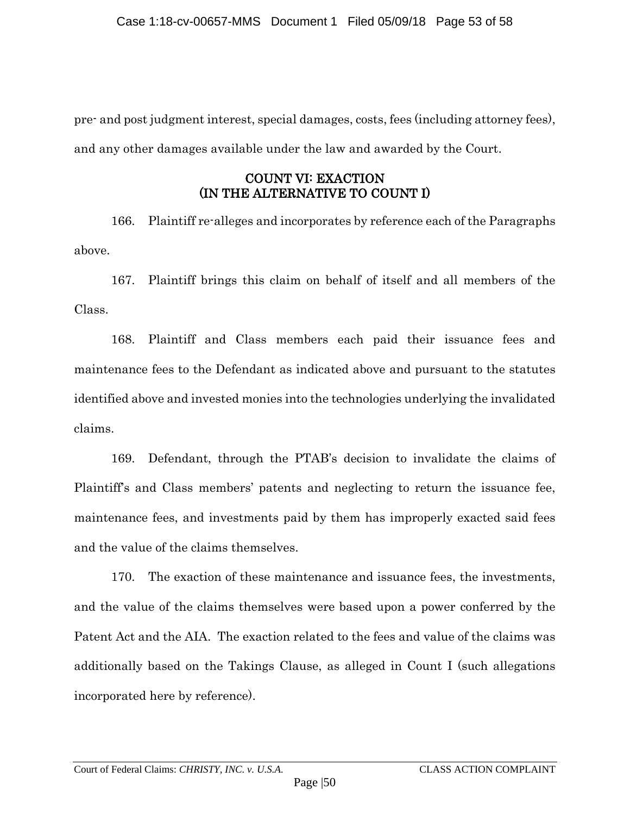pre- and post judgment interest, special damages, costs, fees (including attorney fees), and any other damages available under the law and awarded by the Court.

### COUNT VI: EXACTION (IN THE ALTERNATIVE TO COUNT I)

<span id="page-52-0"></span>166. Plaintiff re-alleges and incorporates by reference each of the Paragraphs above.

167. Plaintiff brings this claim on behalf of itself and all members of the Class.

168. Plaintiff and Class members each paid their issuance fees and maintenance fees to the Defendant as indicated above and pursuant to the statutes identified above and invested monies into the technologies underlying the invalidated claims.

169. Defendant, through the PTAB's decision to invalidate the claims of Plaintiff's and Class members' patents and neglecting to return the issuance fee, maintenance fees, and investments paid by them has improperly exacted said fees and the value of the claims themselves.

170. The exaction of these maintenance and issuance fees, the investments, and the value of the claims themselves were based upon a power conferred by the Patent Act and the AIA. The exaction related to the fees and value of the claims was additionally based on the Takings Clause, as alleged in Count I (such allegations incorporated here by reference).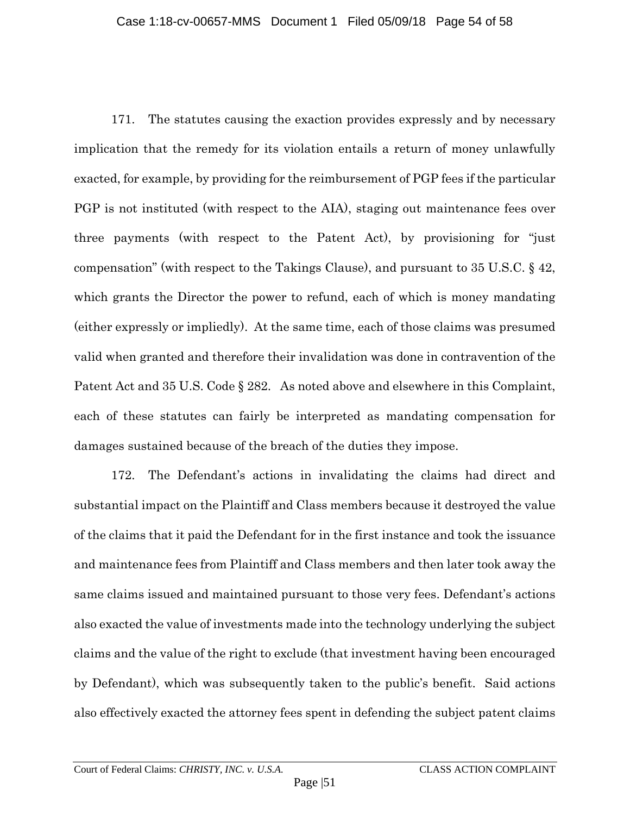171. The statutes causing the exaction provides expressly and by necessary implication that the remedy for its violation entails a return of money unlawfully exacted, for example, by providing for the reimbursement of PGP fees if the particular PGP is not instituted (with respect to the AIA), staging out maintenance fees over three payments (with respect to the Patent Act), by provisioning for "just compensation" (with respect to the Takings Clause), and pursuant to 35 U.S.C. § 42, which grants the Director the power to refund, each of which is money mandating (either expressly or impliedly). At the same time, each of those claims was presumed valid when granted and therefore their invalidation was done in contravention of the Patent Act and 35 U.S. Code § 282. As noted above and elsewhere in this Complaint, each of these statutes can fairly be interpreted as mandating compensation for damages sustained because of the breach of the duties they impose.

172. The Defendant's actions in invalidating the claims had direct and substantial impact on the Plaintiff and Class members because it destroyed the value of the claims that it paid the Defendant for in the first instance and took the issuance and maintenance fees from Plaintiff and Class members and then later took away the same claims issued and maintained pursuant to those very fees. Defendant's actions also exacted the value of investments made into the technology underlying the subject claims and the value of the right to exclude (that investment having been encouraged by Defendant), which was subsequently taken to the public's benefit. Said actions also effectively exacted the attorney fees spent in defending the subject patent claims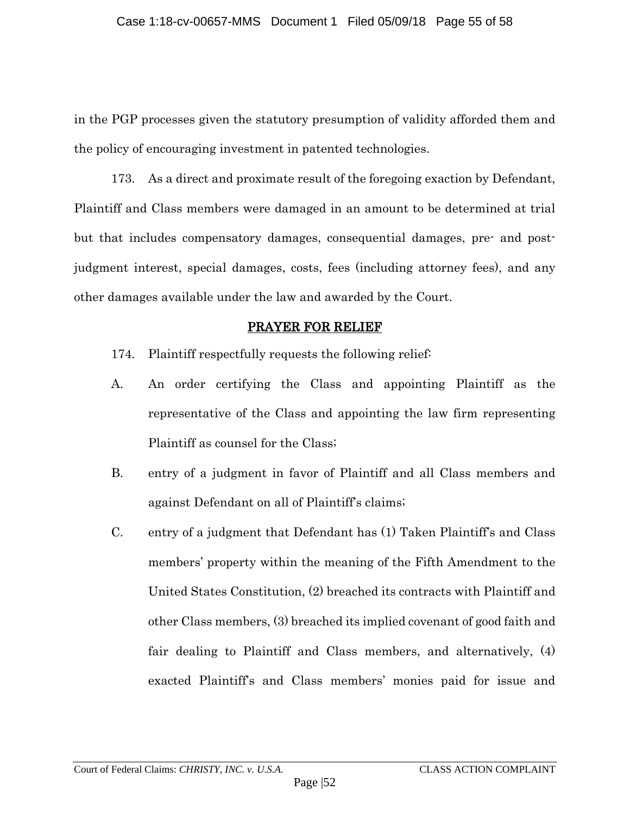in the PGP processes given the statutory presumption of validity afforded them and the policy of encouraging investment in patented technologies.

173. As a direct and proximate result of the foregoing exaction by Defendant, Plaintiff and Class members were damaged in an amount to be determined at trial but that includes compensatory damages, consequential damages, pre- and postjudgment interest, special damages, costs, fees (including attorney fees), and any other damages available under the law and awarded by the Court.

#### PRAYER FOR RELIEF

- <span id="page-54-0"></span>174. Plaintiff respectfully requests the following relief:
- A. An order certifying the Class and appointing Plaintiff as the representative of the Class and appointing the law firm representing Plaintiff as counsel for the Class;
- B. entry of a judgment in favor of Plaintiff and all Class members and against Defendant on all of Plaintiff's claims;
- C. entry of a judgment that Defendant has (1) Taken Plaintiff's and Class members' property within the meaning of the Fifth Amendment to the United States Constitution, (2) breached its contracts with Plaintiff and other Class members, (3) breached its implied covenant of good faith and fair dealing to Plaintiff and Class members, and alternatively, (4) exacted Plaintiff's and Class members' monies paid for issue and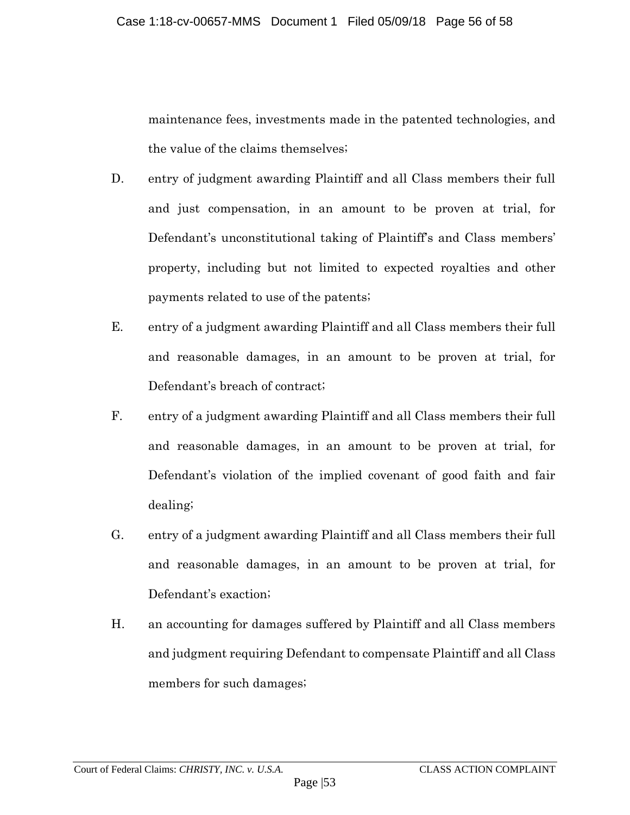maintenance fees, investments made in the patented technologies, and the value of the claims themselves;

- D. entry of judgment awarding Plaintiff and all Class members their full and just compensation, in an amount to be proven at trial, for Defendant's unconstitutional taking of Plaintiff's and Class members' property, including but not limited to expected royalties and other payments related to use of the patents;
- E. entry of a judgment awarding Plaintiff and all Class members their full and reasonable damages, in an amount to be proven at trial, for Defendant's breach of contract;
- F. entry of a judgment awarding Plaintiff and all Class members their full and reasonable damages, in an amount to be proven at trial, for Defendant's violation of the implied covenant of good faith and fair dealing;
- G. entry of a judgment awarding Plaintiff and all Class members their full and reasonable damages, in an amount to be proven at trial, for Defendant's exaction;
- H. an accounting for damages suffered by Plaintiff and all Class members and judgment requiring Defendant to compensate Plaintiff and all Class members for such damages;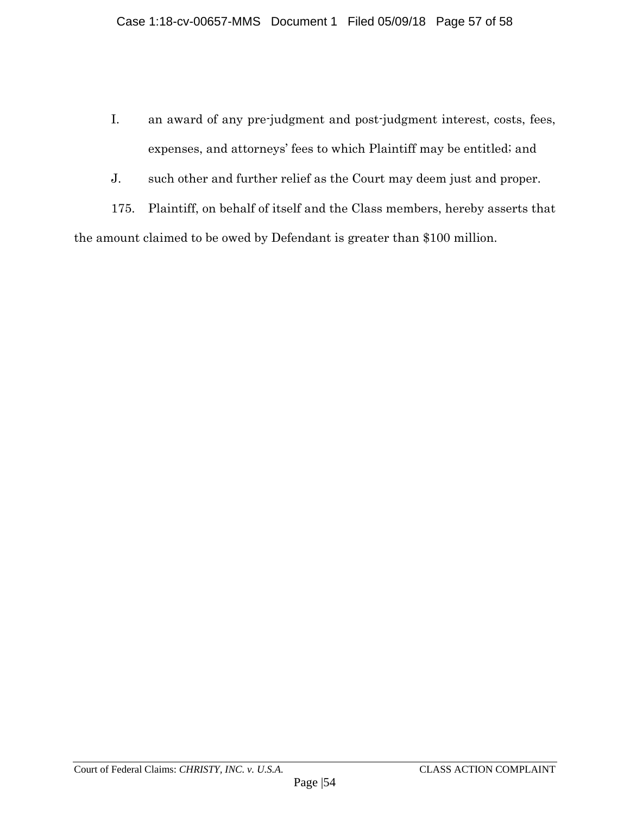- I. an award of any pre-judgment and post-judgment interest, costs, fees, expenses, and attorneys' fees to which Plaintiff may be entitled; and
- J. such other and further relief as the Court may deem just and proper.

175. Plaintiff, on behalf of itself and the Class members, hereby asserts that the amount claimed to be owed by Defendant is greater than \$100 million.